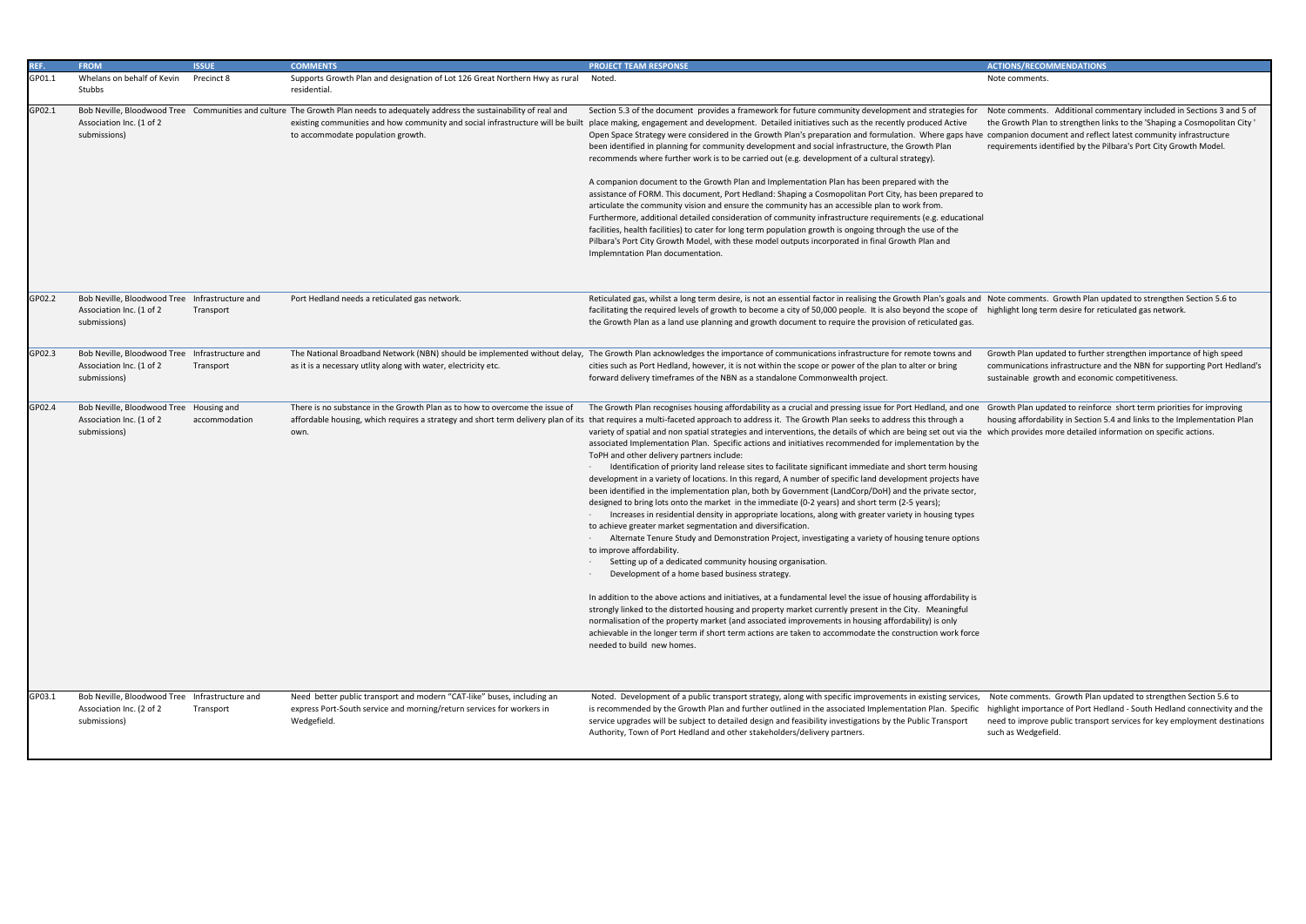Note comments. Additional commentary included in Sections 3 and 5 of the Growth Plan to strengthen links to the 'Shaping a Cosmopolitan City ' companion document and reflect latest community infrastructure requirements identified by the Pilbara's Port City Growth Model.

Note comments. Growth Plan updated to strengthen Section 5.6 to highlight long term desire for reticulated gas network.

| REF.   | <b>FROM</b>                                                                                | <b>ISSUE</b>  | <b>COMMENTS</b>                                                                                                                                                                                                                                       | <b>PROJECT TEAM RESPONSE</b>                                                                                                                                                                                                                                                                                                                                                                                                                                                                                                                                                                                                                                                                                                                                                                                                                                                                                                                                                                                                                                                                                                                                                                                                                                                                                                                                                                                                                                                                                                                                                                                                                                                                                                                                                                                                                                                                                                                                   | <b>ACTIONS/RECOMMENDATIONS</b>                                                                        |
|--------|--------------------------------------------------------------------------------------------|---------------|-------------------------------------------------------------------------------------------------------------------------------------------------------------------------------------------------------------------------------------------------------|----------------------------------------------------------------------------------------------------------------------------------------------------------------------------------------------------------------------------------------------------------------------------------------------------------------------------------------------------------------------------------------------------------------------------------------------------------------------------------------------------------------------------------------------------------------------------------------------------------------------------------------------------------------------------------------------------------------------------------------------------------------------------------------------------------------------------------------------------------------------------------------------------------------------------------------------------------------------------------------------------------------------------------------------------------------------------------------------------------------------------------------------------------------------------------------------------------------------------------------------------------------------------------------------------------------------------------------------------------------------------------------------------------------------------------------------------------------------------------------------------------------------------------------------------------------------------------------------------------------------------------------------------------------------------------------------------------------------------------------------------------------------------------------------------------------------------------------------------------------------------------------------------------------------------------------------------------------|-------------------------------------------------------------------------------------------------------|
| GP01.1 | Whelans on behalf of Kevin<br>Stubbs                                                       | Precinct 8    | Supports Growth Plan and designation of Lot 126 Great Northern Hwy as rural<br>residential.                                                                                                                                                           | Noted.                                                                                                                                                                                                                                                                                                                                                                                                                                                                                                                                                                                                                                                                                                                                                                                                                                                                                                                                                                                                                                                                                                                                                                                                                                                                                                                                                                                                                                                                                                                                                                                                                                                                                                                                                                                                                                                                                                                                                         | Note comments.                                                                                        |
| GP02.1 | Association Inc. (1 of 2<br>submissions)                                                   |               | Bob Neville, Bloodwood Tree Communities and culture The Growth Plan needs to adequately address the sustainability of real and<br>existing communities and how community and social infrastructure will be built<br>to accommodate population growth. | Section 5.3 of the document provides a framework for future community development and strategies for<br>place making, engagement and development. Detailed initiatives such as the recently produced Active<br>Open Space Strategy were considered in the Growth Plan's preparation and formulation. Where gaps have companion document and refleo<br>been identified in planning for community development and social infrastructure, the Growth Plan<br>recommends where further work is to be carried out (e.g. development of a cultural strategy).<br>A companion document to the Growth Plan and Implementation Plan has been prepared with the<br>assistance of FORM. This document, Port Hedland: Shaping a Cosmopolitan Port City, has been prepared to<br>articulate the community vision and ensure the community has an accessible plan to work from.<br>Furthermore, additional detailed consideration of community infrastructure requirements (e.g. educational<br>facilities, health facilities) to cater for long term population growth is ongoing through the use of the<br>Pilbara's Port City Growth Model, with these model outputs incorporated in final Growth Plan and<br>Implemntation Plan documentation.                                                                                                                                                                                                                                                                                                                                                                                                                                                                                                                                                                                                                                                                                                                           | Note comments. Additional cor<br>the Growth Plan to strengthen li<br>requirements identified by the F |
| GP02.2 | Bob Neville, Bloodwood Tree Infrastructure and<br>Association Inc. (1 of 2<br>submissions) | Transport     | Port Hedland needs a reticulated gas network.                                                                                                                                                                                                         | Reticulated gas, whilst a long term desire, is not an essential factor in realising the Growth Plan's goals and Note comments. Growth Plan u<br>facilitating the required levels of growth to become a city of 50,000 people. It is also beyond the scope of highlight long term desire for re<br>the Growth Plan as a land use planning and growth document to require the provision of reticulated gas.                                                                                                                                                                                                                                                                                                                                                                                                                                                                                                                                                                                                                                                                                                                                                                                                                                                                                                                                                                                                                                                                                                                                                                                                                                                                                                                                                                                                                                                                                                                                                      |                                                                                                       |
| GP02.3 | Bob Neville, Bloodwood Tree Infrastructure and<br>Association Inc. (1 of 2<br>submissions) | Transport     | as it is a necessary utlity along with water, electricity etc.                                                                                                                                                                                        | The National Broadband Network (NBN) should be implemented without delay, The Growth Plan acknowledges the importance of communications infrastructure for remote towns and<br>cities such as Port Hedland, however, it is not within the scope or power of the plan to alter or bring<br>forward delivery timeframes of the NBN as a standalone Commonwealth project.                                                                                                                                                                                                                                                                                                                                                                                                                                                                                                                                                                                                                                                                                                                                                                                                                                                                                                                                                                                                                                                                                                                                                                                                                                                                                                                                                                                                                                                                                                                                                                                         | Growth Plan updated to further<br>communications infrastructure<br>sustainable growth and econom      |
| GP02.4 | Bob Neville, Bloodwood Tree Housing and<br>Association Inc. (1 of 2<br>submissions)        | accommodation | There is no substance in the Growth Plan as to how to overcome the issue of<br>own.                                                                                                                                                                   | The Growth Plan recognises housing affordability as a crucial and pressing issue for Port Hedland, and one<br>affordable housing, which requires a strategy and short term delivery plan of its that requires a multi-faceted approach to address it. The Growth Plan seeks to address this through a<br>variety of spatial and non spatial strategies and interventions, the details of which are being set out via the which provides more detailed in<br>associated Implementation Plan. Specific actions and initiatives recommended for implementation by the<br>ToPH and other delivery partners include:<br>Identification of priority land release sites to facilitate significant immediate and short term housing<br>development in a variety of locations. In this regard, A number of specific land development projects have<br>been identified in the implementation plan, both by Government (LandCorp/DoH) and the private sector,<br>designed to bring lots onto the market in the immediate (0-2 years) and short term (2-5 years);<br>Increases in residential density in appropriate locations, along with greater variety in housing types<br>to achieve greater market segmentation and diversification.<br>Alternate Tenure Study and Demonstration Project, investigating a variety of housing tenure options<br>to improve affordability.<br>Setting up of a dedicated community housing organisation.<br>Development of a home based business strategy.<br>In addition to the above actions and initiatives, at a fundamental level the issue of housing affordability is<br>strongly linked to the distorted housing and property market currently present in the City. Meaningful<br>normalisation of the property market (and associated improvements in housing affordability) is only<br>achievable in the longer term if short term actions are taken to accommodate the construction work force<br>needed to build new homes. | Growth Plan updated to reinford<br>housing affordability in Section !                                 |
| GP03.1 | Bob Neville, Bloodwood Tree Infrastructure and<br>Association Inc. (2 of 2<br>submissions) | Transport     | Need better public transport and modern "CAT-like" buses, including an<br>express Port-South service and morning/return services for workers in<br>Wedgefield.                                                                                        | Noted. Development of a public transport strategy, along with specific improvements in existing services,<br>is recommended by the Growth Plan and further outlined in the associated Implementation Plan. Specific highlight importance of Port He<br>service upgrades will be subject to detailed design and feasibility investigations by the Public Transport<br>Authority, Town of Port Hedland and other stakeholders/delivery partners.                                                                                                                                                                                                                                                                                                                                                                                                                                                                                                                                                                                                                                                                                                                                                                                                                                                                                                                                                                                                                                                                                                                                                                                                                                                                                                                                                                                                                                                                                                                 | Note comments. Growth Plan u<br>need to improve public transpor<br>such as Wedgefield.                |

Growth Plan updated to further strengthen importance of high speed communications infrastructure and the NBN for supporting Port Hedland's sustainable growth and economic competitiveness.

Growth Plan updated to reinforce short term priorities for improving housing affordability in Section 5.4 and links to the Implementation Plan which provides more detailed information on specific actions.

 Note comments. Growth Plan updated to strengthen Section 5.6 to highlight importance of Port Hedland - South Hedland connectivity and the need to improve public transport services for key employment destinations such as Wedgefield.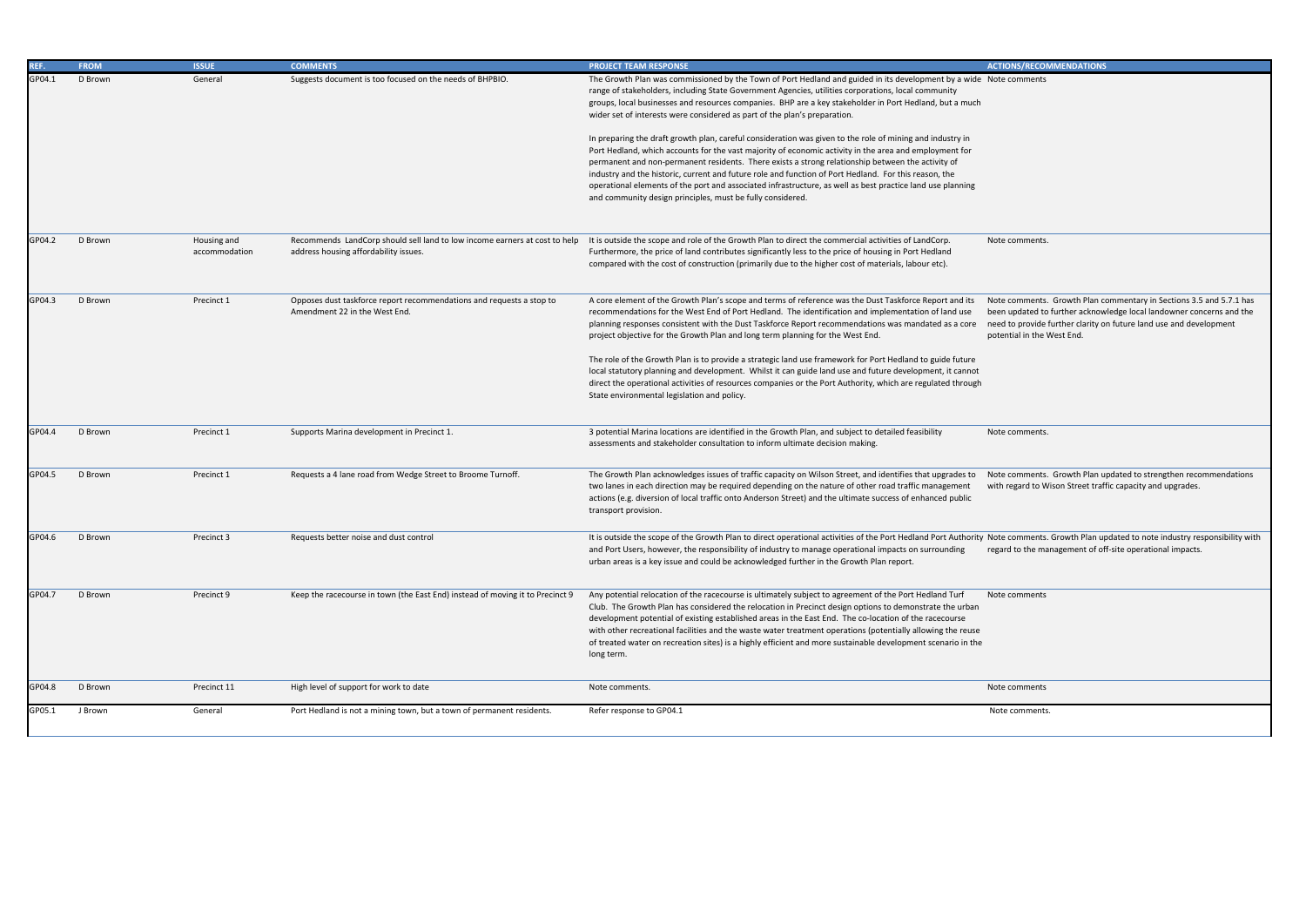Note comments. Growth Plan updated to note industry responsibility with regard to the management of off-site operational impacts.

| REF.   | <b>FROM</b> | <b>ISSUE</b>                 | <b>COMMENTS</b>                                                                                                     | <b>PROJECT TEAM RESPONSE</b>                                                                                                                                                                                                                                                                                                                                                                                                                                                                                                                                                                                  | <b>ACTIONS/RECON</b>                                                           |
|--------|-------------|------------------------------|---------------------------------------------------------------------------------------------------------------------|---------------------------------------------------------------------------------------------------------------------------------------------------------------------------------------------------------------------------------------------------------------------------------------------------------------------------------------------------------------------------------------------------------------------------------------------------------------------------------------------------------------------------------------------------------------------------------------------------------------|--------------------------------------------------------------------------------|
| GP04.1 | D Brown     | General                      | Suggests document is too focused on the needs of BHPBIO.                                                            | The Growth Plan was commissioned by the Town of Port Hedland and guided in its development by a wide Note comments<br>range of stakeholders, including State Government Agencies, utilities corporations, local community<br>groups, local businesses and resources companies. BHP are a key stakeholder in Port Hedland, but a much<br>wider set of interests were considered as part of the plan's preparation.                                                                                                                                                                                             |                                                                                |
|        |             |                              |                                                                                                                     | In preparing the draft growth plan, careful consideration was given to the role of mining and industry in<br>Port Hedland, which accounts for the vast majority of economic activity in the area and employment for<br>permanent and non-permanent residents. There exists a strong relationship between the activity of<br>industry and the historic, current and future role and function of Port Hedland. For this reason, the<br>operational elements of the port and associated infrastructure, as well as best practice land use planning<br>and community design principles, must be fully considered. |                                                                                |
| GP04.2 | D Brown     | Housing and<br>accommodation | Recommends LandCorp should sell land to low income earners at cost to help<br>address housing affordability issues. | It is outside the scope and role of the Growth Plan to direct the commercial activities of LandCorp.<br>Furthermore, the price of land contributes significantly less to the price of housing in Port Hedland<br>compared with the cost of construction (primarily due to the higher cost of materials, labour etc).                                                                                                                                                                                                                                                                                          | Note comments                                                                  |
| GP04.3 | D Brown     | Precinct 1                   | Opposes dust taskforce report recommendations and requests a stop to<br>Amendment 22 in the West End.               | A core element of the Growth Plan's scope and terms of reference was the Dust Taskforce Report and its<br>recommendations for the West End of Port Hedland. The identification and implementation of land use<br>planning responses consistent with the Dust Taskforce Report recommendations was mandated as a core<br>project objective for the Growth Plan and long term planning for the West End.                                                                                                                                                                                                        | Note comments.<br>been updated to t<br>need to provide f<br>potential in the W |
|        |             |                              |                                                                                                                     | The role of the Growth Plan is to provide a strategic land use framework for Port Hedland to guide future<br>local statutory planning and development. Whilst it can guide land use and future development, it cannot<br>direct the operational activities of resources companies or the Port Authority, which are regulated through<br>State environmental legislation and policy.                                                                                                                                                                                                                           |                                                                                |
| GP04.4 | D Brown     | Precinct 1                   | Supports Marina development in Precinct 1.                                                                          | 3 potential Marina locations are identified in the Growth Plan, and subject to detailed feasibility<br>assessments and stakeholder consultation to inform ultimate decision making.                                                                                                                                                                                                                                                                                                                                                                                                                           | Note comments.                                                                 |
| GP04.5 | D Brown     | Precinct 1                   | Requests a 4 lane road from Wedge Street to Broome Turnoff.                                                         | The Growth Plan acknowledges issues of traffic capacity on Wilson Street, and identifies that upgrades to<br>two lanes in each direction may be required depending on the nature of other road traffic management<br>actions (e.g. diversion of local traffic onto Anderson Street) and the ultimate success of enhanced public<br>transport provision.                                                                                                                                                                                                                                                       | Note comments.<br>with regard to Wi                                            |
| GP04.6 | D Brown     | Precinct 3                   | Requests better noise and dust control                                                                              | It is outside the scope of the Growth Plan to direct operational activities of the Port Hedland Port Authority Note comments.<br>and Port Users, however, the responsibility of industry to manage operational impacts on surrounding regard to the mar<br>urban areas is a key issue and could be acknowledged further in the Growth Plan report.                                                                                                                                                                                                                                                            |                                                                                |
| GP04.7 | D Brown     | Precinct 9                   | Keep the racecourse in town (the East End) instead of moving it to Precinct 9                                       | Any potential relocation of the racecourse is ultimately subject to agreement of the Port Hedland Turf<br>Club. The Growth Plan has considered the relocation in Precinct design options to demonstrate the urban<br>development potential of existing established areas in the East End. The co-location of the racecourse<br>with other recreational facilities and the waste water treatment operations (potentially allowing the reuse<br>of treated water on recreation sites) is a highly efficient and more sustainable development scenario in the<br>long term.                                      | Note comments                                                                  |
| GP04.8 | D Brown     | Precinct 11                  | High level of support for work to date                                                                              | Note comments.                                                                                                                                                                                                                                                                                                                                                                                                                                                                                                                                                                                                | Note comments                                                                  |
| GP05.1 | J Brown     | General                      | Port Hedland is not a mining town, but a town of permanent residents.                                               | Refer response to GP04.1                                                                                                                                                                                                                                                                                                                                                                                                                                                                                                                                                                                      | Note comments.                                                                 |

Note comments. Growth Plan commentary in Sections 3.5 and 5.7.1 has been updated to further acknowledge local landowner concerns and the need to provide further clarity on future land use and development potential in the West End.

Note comments. Growth Plan updated to strengthen recommendations with regard to Wison Street traffic capacity and upgrades.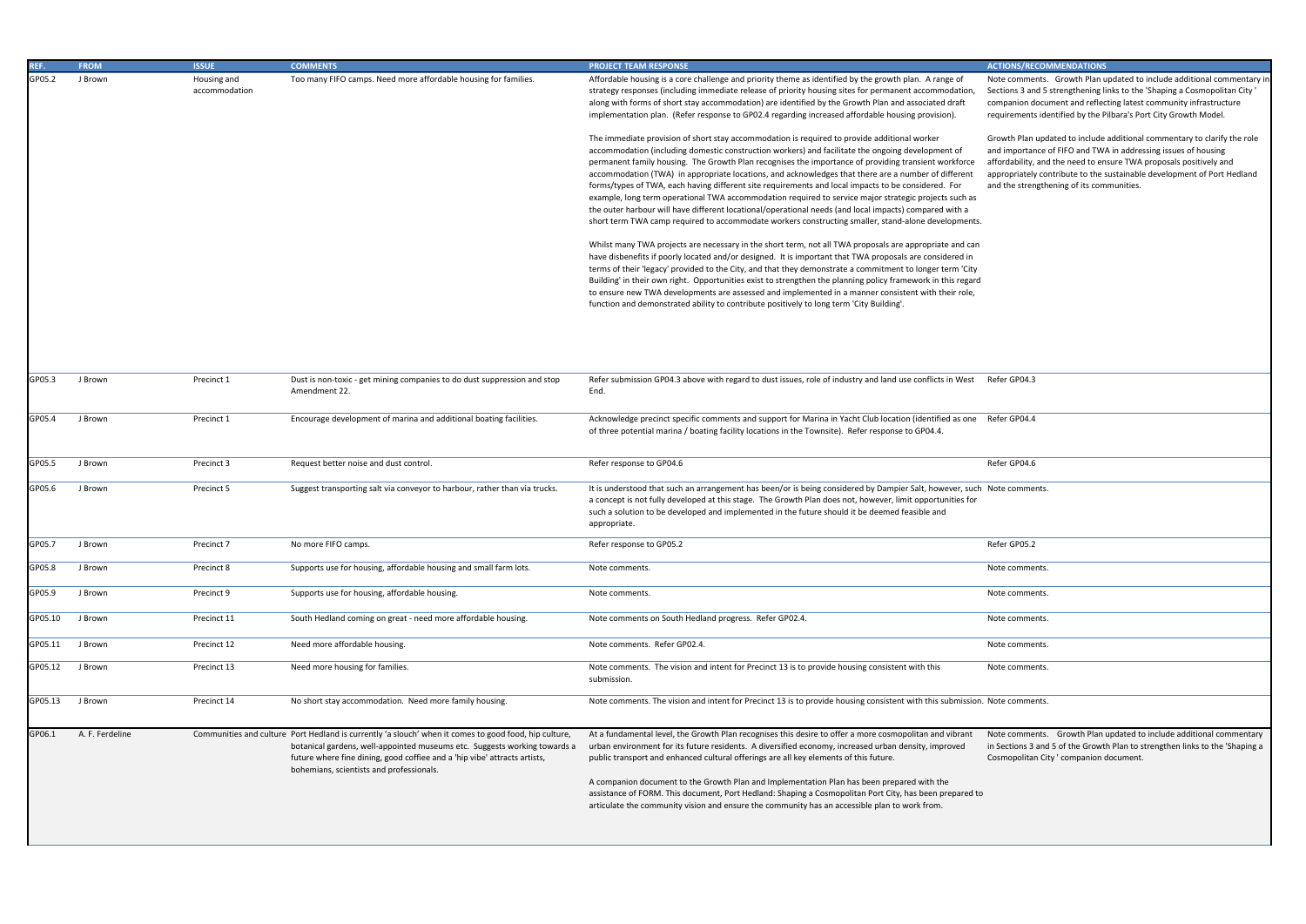Note comments. Growth Plan updated to include additional commentary in Sections 3 and 5 strengthening links to the 'Shaping a Cosmopolitan City ' companion document and reflecting latest community infrastructure requirements identified by the Pilbara's Port City Growth Model.

Growth Plan updated to include additional commentary to clarify the role and importance of FIFO and TWA in addressing issues of housing affordability, and the need to ensure TWA proposals positively and appropriately contribute to the sustainable development of Port Hedland and the strengthening of its communities.

|         | <u>FRUM</u>     | взон                         | COMMENTS                                                                                                                                                                                                                                                                                                    | <b>PROJECT TEAIVE RESPONSE</b>                                                                                                                                                                                                                                                                                                                                                                                                                                                                                                                                                                                                                                                                                                                                                                                                                                                                                                                                                                                                                                                                                                                                                                                                                                                                                                                                                                                                                                                                                                                                                                                                                                                                                                                                                                                                                                                                                                           | ACTIONS/RECOR                                                                                                                                                                |
|---------|-----------------|------------------------------|-------------------------------------------------------------------------------------------------------------------------------------------------------------------------------------------------------------------------------------------------------------------------------------------------------------|------------------------------------------------------------------------------------------------------------------------------------------------------------------------------------------------------------------------------------------------------------------------------------------------------------------------------------------------------------------------------------------------------------------------------------------------------------------------------------------------------------------------------------------------------------------------------------------------------------------------------------------------------------------------------------------------------------------------------------------------------------------------------------------------------------------------------------------------------------------------------------------------------------------------------------------------------------------------------------------------------------------------------------------------------------------------------------------------------------------------------------------------------------------------------------------------------------------------------------------------------------------------------------------------------------------------------------------------------------------------------------------------------------------------------------------------------------------------------------------------------------------------------------------------------------------------------------------------------------------------------------------------------------------------------------------------------------------------------------------------------------------------------------------------------------------------------------------------------------------------------------------------------------------------------------------|------------------------------------------------------------------------------------------------------------------------------------------------------------------------------|
| GP05.2  | J Brown         | Housing and<br>accommodation | Too many FIFO camps. Need more affordable housing for families.                                                                                                                                                                                                                                             | Affordable housing is a core challenge and priority theme as identified by the growth plan. A range of<br>strategy responses (including immediate release of priority housing sites for permanent accommodation<br>along with forms of short stay accommodation) are identified by the Growth Plan and associated draft<br>implementation plan. (Refer response to GP02.4 regarding increased affordable housing provision).<br>The immediate provision of short stay accommodation is required to provide additional worker<br>accommodation (including domestic construction workers) and facilitate the ongoing development of<br>permanent family housing. The Growth Plan recognises the importance of providing transient workforce<br>accommodation (TWA) in appropriate locations, and acknowledges that there are a number of different<br>forms/types of TWA, each having different site requirements and local impacts to be considered. For<br>example, long term operational TWA accommodation required to service major strategic projects such as<br>the outer harbour will have different locational/operational needs (and local impacts) compared with a<br>short term TWA camp required to accommodate workers constructing smaller, stand-alone developments.<br>Whilst many TWA projects are necessary in the short term, not all TWA proposals are appropriate and can<br>have disbenefits if poorly located and/or designed. It is important that TWA proposals are considered in<br>terms of their 'legacy' provided to the City, and that they demonstrate a commitment to longer term 'City<br>Building' in their own right. Opportunities exist to strengthen the planning policy framework in this regard<br>to ensure new TWA developments are assessed and implemented in a manner consistent with their role,<br>function and demonstrated ability to contribute positively to long term 'City Building'. | Note comments.<br>Sections 3 and 5<br>companion docu<br>requirements ide<br>Growth Plan upd<br>and importance<br>affordability, and<br>appropriately cor<br>and the strength |
| GP05.3  | J Brown         | Precinct 1                   | Dust is non-toxic - get mining companies to do dust suppression and stop                                                                                                                                                                                                                                    | Refer submission GP04.3 above with regard to dust issues, role of industry and land use conflicts in West                                                                                                                                                                                                                                                                                                                                                                                                                                                                                                                                                                                                                                                                                                                                                                                                                                                                                                                                                                                                                                                                                                                                                                                                                                                                                                                                                                                                                                                                                                                                                                                                                                                                                                                                                                                                                                | Refer GP04.3                                                                                                                                                                 |
|         |                 |                              | Amendment 22.                                                                                                                                                                                                                                                                                               | End.                                                                                                                                                                                                                                                                                                                                                                                                                                                                                                                                                                                                                                                                                                                                                                                                                                                                                                                                                                                                                                                                                                                                                                                                                                                                                                                                                                                                                                                                                                                                                                                                                                                                                                                                                                                                                                                                                                                                     |                                                                                                                                                                              |
| GP05.4  | J Brown         | Precinct 1                   | Encourage development of marina and additional boating facilities.                                                                                                                                                                                                                                          | Acknowledge precinct specific comments and support for Marina in Yacht Club location (identified as one<br>of three potential marina / boating facility locations in the Townsite). Refer response to GP04.4.                                                                                                                                                                                                                                                                                                                                                                                                                                                                                                                                                                                                                                                                                                                                                                                                                                                                                                                                                                                                                                                                                                                                                                                                                                                                                                                                                                                                                                                                                                                                                                                                                                                                                                                            | Refer GP04.4                                                                                                                                                                 |
| GP05.5  | J Brown         | Precinct 3                   | Request better noise and dust control.                                                                                                                                                                                                                                                                      | Refer response to GP04.6                                                                                                                                                                                                                                                                                                                                                                                                                                                                                                                                                                                                                                                                                                                                                                                                                                                                                                                                                                                                                                                                                                                                                                                                                                                                                                                                                                                                                                                                                                                                                                                                                                                                                                                                                                                                                                                                                                                 | Refer GP04.6                                                                                                                                                                 |
| GP05.6  | J Brown         | Precinct 5                   | Suggest transporting salt via conveyor to harbour, rather than via trucks.                                                                                                                                                                                                                                  | It is understood that such an arrangement has been/or is being considered by Dampier Salt, however, such Note comments.<br>a concept is not fully developed at this stage. The Growth Plan does not, however, limit opportunities for<br>such a solution to be developed and implemented in the future should it be deemed feasible and<br>appropriate.                                                                                                                                                                                                                                                                                                                                                                                                                                                                                                                                                                                                                                                                                                                                                                                                                                                                                                                                                                                                                                                                                                                                                                                                                                                                                                                                                                                                                                                                                                                                                                                  |                                                                                                                                                                              |
| GP05.7  | J Brown         | Precinct 7                   | No more FIFO camps.                                                                                                                                                                                                                                                                                         | Refer response to GP05.2                                                                                                                                                                                                                                                                                                                                                                                                                                                                                                                                                                                                                                                                                                                                                                                                                                                                                                                                                                                                                                                                                                                                                                                                                                                                                                                                                                                                                                                                                                                                                                                                                                                                                                                                                                                                                                                                                                                 | Refer GP05.2                                                                                                                                                                 |
| GP05.8  | J Brown         | Precinct 8                   | Supports use for housing, affordable housing and small farm lots.                                                                                                                                                                                                                                           | Note comments.                                                                                                                                                                                                                                                                                                                                                                                                                                                                                                                                                                                                                                                                                                                                                                                                                                                                                                                                                                                                                                                                                                                                                                                                                                                                                                                                                                                                                                                                                                                                                                                                                                                                                                                                                                                                                                                                                                                           | Note comments.                                                                                                                                                               |
| GP05.9  | J Brown         | Precinct 9                   | Supports use for housing, affordable housing.                                                                                                                                                                                                                                                               | Note comments.                                                                                                                                                                                                                                                                                                                                                                                                                                                                                                                                                                                                                                                                                                                                                                                                                                                                                                                                                                                                                                                                                                                                                                                                                                                                                                                                                                                                                                                                                                                                                                                                                                                                                                                                                                                                                                                                                                                           | Note comments.                                                                                                                                                               |
| GP05.10 | J Brown         | Precinct 11                  | South Hedland coming on great - need more affordable housing.                                                                                                                                                                                                                                               | Note comments on South Hedland progress. Refer GP02.4.                                                                                                                                                                                                                                                                                                                                                                                                                                                                                                                                                                                                                                                                                                                                                                                                                                                                                                                                                                                                                                                                                                                                                                                                                                                                                                                                                                                                                                                                                                                                                                                                                                                                                                                                                                                                                                                                                   | Note comments.                                                                                                                                                               |
| GP05.11 | J Brown         | Precinct 12                  | Need more affordable housing.                                                                                                                                                                                                                                                                               | Note comments. Refer GP02.4.                                                                                                                                                                                                                                                                                                                                                                                                                                                                                                                                                                                                                                                                                                                                                                                                                                                                                                                                                                                                                                                                                                                                                                                                                                                                                                                                                                                                                                                                                                                                                                                                                                                                                                                                                                                                                                                                                                             | Note comments.                                                                                                                                                               |
| GP05.12 | J Brown         | Precinct 13                  | Need more housing for families.                                                                                                                                                                                                                                                                             | Note comments. The vision and intent for Precinct 13 is to provide housing consistent with this<br>submission.                                                                                                                                                                                                                                                                                                                                                                                                                                                                                                                                                                                                                                                                                                                                                                                                                                                                                                                                                                                                                                                                                                                                                                                                                                                                                                                                                                                                                                                                                                                                                                                                                                                                                                                                                                                                                           | Note comments.                                                                                                                                                               |
| GP05.13 | J Brown         | Precinct 14                  | No short stay accommodation. Need more family housing.                                                                                                                                                                                                                                                      | Note comments. The vision and intent for Precinct 13 is to provide housing consistent with this submission. Note comments.                                                                                                                                                                                                                                                                                                                                                                                                                                                                                                                                                                                                                                                                                                                                                                                                                                                                                                                                                                                                                                                                                                                                                                                                                                                                                                                                                                                                                                                                                                                                                                                                                                                                                                                                                                                                               |                                                                                                                                                                              |
| GP06.1  | A. F. Ferdeline |                              | Communities and culture Port Hedland is currently 'a slouch' when it comes to good food, hip culture,<br>botanical gardens, well-appointed museums etc. Suggests working towards a<br>future where fine dining, good coffiee and a 'hip vibe' attracts artists,<br>bohemians, scientists and professionals. | At a fundamental level, the Growth Plan recognises this desire to offer a more cosmopolitan and vibrant<br>urban environment for its future residents. A diversified economy, increased urban density, improved<br>public transport and enhanced cultural offerings are all key elements of this future.<br>A companion document to the Growth Plan and Implementation Plan has been prepared with the<br>assistance of FORM. This document, Port Hedland: Shaping a Cosmopolitan Port City, has been prepared to<br>articulate the community vision and ensure the community has an accessible plan to work from.                                                                                                                                                                                                                                                                                                                                                                                                                                                                                                                                                                                                                                                                                                                                                                                                                                                                                                                                                                                                                                                                                                                                                                                                                                                                                                                       | Note comments.<br>in Sections 3 and<br>Cosmopolitan Cit                                                                                                                      |

| Refer GP04.3   |
|----------------|
| Refer GP04.4   |
| Refer GP04.6   |
| Note comments. |
| Refer GP05.2   |
| Note comments. |
| Note comments. |
| Note comments. |
| Note comments. |
| Note comments. |
| Note comments. |

Note comments. Growth Plan updated to include additional commentary in Sections 3 and 5 of the Growth Plan to strengthen links to the 'Shaping a Cosmopolitan City ' companion document.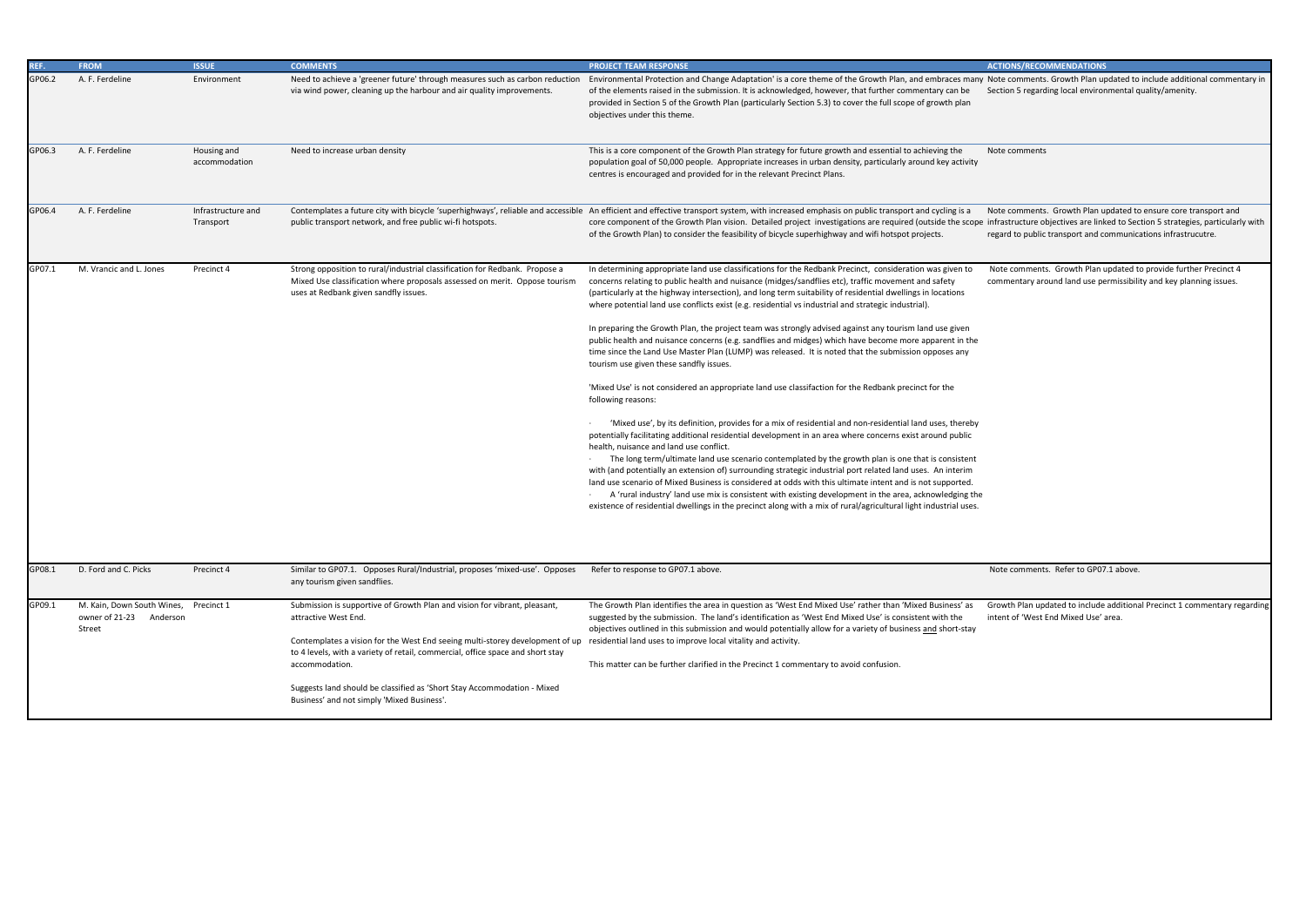Note comments. Growth Plan updated to include additional commentary in Section 5 regarding local environmental quality/amenity.

Note comments

Note comments. Growth Plan updated to ensure core transport and infrastructure objectives are linked to Section 5 strategies, particularly with regard to public transport and communications infrastrucutre.

| REF.   | <b>FROM</b>                                                                          | <b>ISSUE</b>                    | <b>COMMENTS</b>                                                                                                                                                                                                                                                                                                                                                                                                                                                              | <b>PROJECT TEAM RESPONSE</b>                                                                                                                                                                                                                                                                                                                                                                                                                                                                                                                                                                                                                                                                                                                                                                                                                                                                                                               |
|--------|--------------------------------------------------------------------------------------|---------------------------------|------------------------------------------------------------------------------------------------------------------------------------------------------------------------------------------------------------------------------------------------------------------------------------------------------------------------------------------------------------------------------------------------------------------------------------------------------------------------------|--------------------------------------------------------------------------------------------------------------------------------------------------------------------------------------------------------------------------------------------------------------------------------------------------------------------------------------------------------------------------------------------------------------------------------------------------------------------------------------------------------------------------------------------------------------------------------------------------------------------------------------------------------------------------------------------------------------------------------------------------------------------------------------------------------------------------------------------------------------------------------------------------------------------------------------------|
| GP06.2 | A. F. Ferdeline                                                                      | Environment                     | Need to achieve a 'greener future' through measures such as carbon reduction<br>via wind power, cleaning up the harbour and air quality improvements.                                                                                                                                                                                                                                                                                                                        | Environmental Protection and Change Adaptation' is a core theme of the Growth Plan, and embraces many<br>of the elements raised in the submission. It is acknowledged, however, that further commentary can be<br>provided in Section 5 of the Growth Plan (particularly Section 5.3) to cover the full scope of growth plan<br>objectives under this theme.                                                                                                                                                                                                                                                                                                                                                                                                                                                                                                                                                                               |
| GP06.3 | A. F. Ferdeline                                                                      | Housing and<br>accommodation    | Need to increase urban density                                                                                                                                                                                                                                                                                                                                                                                                                                               | This is a core component of the Growth Plan strategy for future growth and essential to achieving the<br>population goal of 50,000 people. Appropriate increases in urban density, particularly around key activity<br>centres is encouraged and provided for in the relevant Precinct Plans.                                                                                                                                                                                                                                                                                                                                                                                                                                                                                                                                                                                                                                              |
| GP06.4 | A. F. Ferdeline                                                                      | Infrastructure and<br>Transport | public transport network, and free public wi-fi hotspots.                                                                                                                                                                                                                                                                                                                                                                                                                    | Contemplates a future city with bicycle 'superhighways', reliable and accessible An efficient and effective transport system, with increased emphasis on public transport and cycling is a<br>core component of the Growth Plan vision. Detailed project investigations are required (outside the scope<br>of the Growth Plan) to consider the feasibility of bicycle superhighway and wifi hotspot projects.                                                                                                                                                                                                                                                                                                                                                                                                                                                                                                                              |
| GP07.1 | M. Vrancic and L. Jones                                                              | Precinct 4                      | Strong opposition to rural/industrial classification for Redbank. Propose a<br>Mixed Use classification where proposals assessed on merit. Oppose tourism<br>uses at Redbank given sandfly issues.                                                                                                                                                                                                                                                                           | In determining appropriate land use classifications for the Redbank Precinct, consideration was given to<br>concerns relating to public health and nuisance (midges/sandflies etc), traffic movement and safety<br>(particularly at the highway intersection), and long term suitability of residential dwellings in locations<br>where potential land use conflicts exist (e.g. residential vs industrial and strategic industrial).<br>In preparing the Growth Plan, the project team was strongly advised against any tourism land use given<br>public health and nuisance concerns (e.g. sandflies and midges) which have become more apparent in the<br>time since the Land Use Master Plan (LUMP) was released. It is noted that the submission opposes any<br>tourism use given these sandfly issues.<br>'Mixed Use' is not considered an appropriate land use classifaction for the Redbank precinct for the<br>following reasons: |
|        |                                                                                      |                                 |                                                                                                                                                                                                                                                                                                                                                                                                                                                                              | 'Mixed use', by its definition, provides for a mix of residential and non-residential land uses, thereby<br>potentially facilitating additional residential development in an area where concerns exist around public<br>health, nuisance and land use conflict.<br>The long term/ultimate land use scenario contemplated by the growth plan is one that is consistent<br>with (and potentially an extension of) surrounding strategic industrial port related land uses. An interim<br>land use scenario of Mixed Business is considered at odds with this ultimate intent and is not supported.<br>A 'rural industry' land use mix is consistent with existing development in the area, acknowledging the<br>existence of residential dwellings in the precinct along with a mix of rural/agricultural light industrial uses.                                                                                                            |
| GP08.1 | D. Ford and C. Picks                                                                 | Precinct 4                      | Similar to GP07.1. Opposes Rural/Industrial, proposes 'mixed-use'. Opposes<br>any tourism given sandflies.                                                                                                                                                                                                                                                                                                                                                                   | Refer to response to GP07.1 above.                                                                                                                                                                                                                                                                                                                                                                                                                                                                                                                                                                                                                                                                                                                                                                                                                                                                                                         |
| GP09.1 | M. Kain, Down South Wines, Precinct 1<br>owner of 21-23<br>Anderson<br><b>Street</b> |                                 | Submission is supportive of Growth Plan and vision for vibrant, pleasant,<br>attractive West End.<br>Contemplates a vision for the West End seeing multi-storey development of up residential land uses to improve local vitality and activity.<br>to 4 levels, with a variety of retail, commercial, office space and short stay<br>accommodation.<br>Suggests land should be classified as 'Short Stay Accommodation - Mixed<br>Business' and not simply 'Mixed Business'. | The Growth Plan identifies the area in question as 'West End Mixed Use' rather than 'Mixed Business' as<br>suggested by the submission. The land's identification as 'West End Mixed Use' is consistent with the<br>objectives outlined in this submission and would potentially allow for a variety of business and short-stay<br>This matter can be further clarified in the Precinct 1 commentary to avoid confusion.                                                                                                                                                                                                                                                                                                                                                                                                                                                                                                                   |

 Note comments. Growth Plan updated to provide further Precinct 4 commentary around land use permissibility and key planning issues.

Note comments. Refer to GP07.1 above.

Growth Plan updated to include additional Precinct 1 commentary regarding intent of 'West End Mixed Use' area.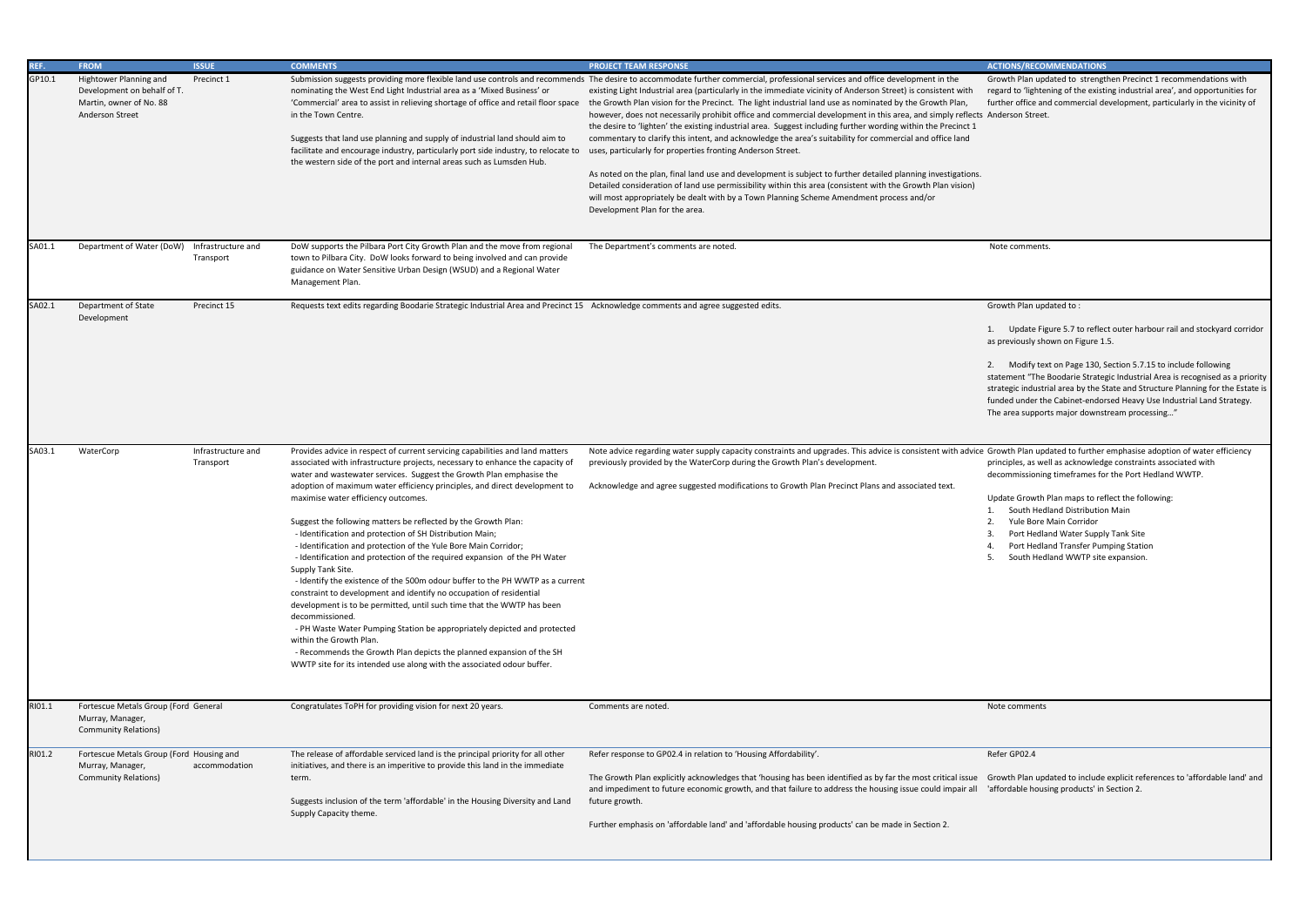Growth Plan updated to strengthen Precinct 1 recommendations with regard to 'lightening of the existing industrial area', and opportunities for further office and commercial development, particularly in the vicinity of Anderson Street.

1. Update Figure 5.7 to reflect outer harbour rail and stockyard corridor as previously shown on Figure 1.5.

2. Modify text on Page 130, Section 5.7.15 to include following statement "The Boodarie Strategic Industrial Area is recognised as a priority strategic industrial area by the State and Structure Planning for the Estate is funded under the Cabinet-endorsed Heavy Use Industrial Land Strategy. The area supports major downstream processing…"

| REF.   | <b>FROM</b>                                                                                                | <b>ISSUE</b>                    | <b>COMMENTS</b>                                                                                                                                                                                                                                                                                                                                                                                                                                                                                                                                                                                                                                                                                                                                                                                                                                                                                                                                                                                                                                                                                                                                                              | <b>PROJECT TEAM RESPONSE</b>                                                                                                                                                                                                                                                                                                                                                                                                                                                                                                                                                                                                                                                                                                                                                                                                                                                                                                                                                                                                                                                                                                                                                                       | <b>ACTIONS/RECOMMENDATIONS</b>                                                                                                                                                                                                                                           |
|--------|------------------------------------------------------------------------------------------------------------|---------------------------------|------------------------------------------------------------------------------------------------------------------------------------------------------------------------------------------------------------------------------------------------------------------------------------------------------------------------------------------------------------------------------------------------------------------------------------------------------------------------------------------------------------------------------------------------------------------------------------------------------------------------------------------------------------------------------------------------------------------------------------------------------------------------------------------------------------------------------------------------------------------------------------------------------------------------------------------------------------------------------------------------------------------------------------------------------------------------------------------------------------------------------------------------------------------------------|----------------------------------------------------------------------------------------------------------------------------------------------------------------------------------------------------------------------------------------------------------------------------------------------------------------------------------------------------------------------------------------------------------------------------------------------------------------------------------------------------------------------------------------------------------------------------------------------------------------------------------------------------------------------------------------------------------------------------------------------------------------------------------------------------------------------------------------------------------------------------------------------------------------------------------------------------------------------------------------------------------------------------------------------------------------------------------------------------------------------------------------------------------------------------------------------------|--------------------------------------------------------------------------------------------------------------------------------------------------------------------------------------------------------------------------------------------------------------------------|
| GP10.1 | Hightower Planning and<br>Development on behalf of T.<br>Martin, owner of No. 88<br><b>Anderson Street</b> | Precinct 1                      | nominating the West End Light Industrial area as a 'Mixed Business' or<br>'Commercial' area to assist in relieving shortage of office and retail floor space<br>in the Town Centre.<br>Suggests that land use planning and supply of industrial land should aim to<br>facilitate and encourage industry, particularly port side industry, to relocate to<br>the western side of the port and internal areas such as Lumsden Hub.                                                                                                                                                                                                                                                                                                                                                                                                                                                                                                                                                                                                                                                                                                                                             | Submission suggests providing more flexible land use controls and recommends The desire to accommodate further commercial, professional services and office development in the<br>existing Light Industrial area (particularly in the immediate vicinity of Anderson Street) is consistent with<br>the Growth Plan vision for the Precinct. The light industrial land use as nominated by the Growth Plan,<br>however, does not necessarily prohibit office and commercial development in this area, and simply reflects Anderson Street.<br>the desire to 'lighten' the existing industrial area. Suggest including further wording within the Precinct 1<br>commentary to clarify this intent, and acknowledge the area's suitability for commercial and office land<br>uses, particularly for properties fronting Anderson Street.<br>As noted on the plan, final land use and development is subject to further detailed planning investigations.<br>Detailed consideration of land use permissibility within this area (consistent with the Growth Plan vision)<br>will most appropriately be dealt with by a Town Planning Scheme Amendment process and/or<br>Development Plan for the area. | Growth Plan updated to strengt<br>regard to 'lightening of the exist<br>further office and commercial do                                                                                                                                                                 |
| SA01.1 | Department of Water (DoW)                                                                                  | Infrastructure and<br>Transport | DoW supports the Pilbara Port City Growth Plan and the move from regional<br>town to Pilbara City. DoW looks forward to being involved and can provide<br>guidance on Water Sensitive Urban Design (WSUD) and a Regional Water<br>Management Plan.                                                                                                                                                                                                                                                                                                                                                                                                                                                                                                                                                                                                                                                                                                                                                                                                                                                                                                                           | The Department's comments are noted.                                                                                                                                                                                                                                                                                                                                                                                                                                                                                                                                                                                                                                                                                                                                                                                                                                                                                                                                                                                                                                                                                                                                                               | Note comments.                                                                                                                                                                                                                                                           |
| SA02.1 | Department of State<br>Development                                                                         | Precinct 15                     | Requests text edits regarding Boodarie Strategic Industrial Area and Precinct 15 Acknowledge comments and agree suggested edits.                                                                                                                                                                                                                                                                                                                                                                                                                                                                                                                                                                                                                                                                                                                                                                                                                                                                                                                                                                                                                                             |                                                                                                                                                                                                                                                                                                                                                                                                                                                                                                                                                                                                                                                                                                                                                                                                                                                                                                                                                                                                                                                                                                                                                                                                    | Growth Plan updated to:<br>1. Update Figure 5.7 to reflee<br>as previously shown on Figure 1<br>2. Modify text on Page 130, 9<br>statement "The Boodarie Strate<br>strategic industrial area by the S<br>funded under the Cabinet-endor<br>The area supports major downs |
| SA03.1 | WaterCorp                                                                                                  | Infrastructure and<br>Transport | Provides advice in respect of current servicing capabilities and land matters<br>associated with infrastructure projects, necessary to enhance the capacity of<br>water and wastewater services. Suggest the Growth Plan emphasise the<br>adoption of maximum water efficiency principles, and direct development to<br>maximise water efficiency outcomes.<br>Suggest the following matters be reflected by the Growth Plan:<br>- Identification and protection of SH Distribution Main;<br>- Identification and protection of the Yule Bore Main Corridor;<br>- Identification and protection of the required expansion of the PH Water<br>Supply Tank Site.<br>- Identify the existence of the 500m odour buffer to the PH WWTP as a current<br>constraint to development and identify no occupation of residential<br>development is to be permitted, until such time that the WWTP has been<br>decommissioned.<br>- PH Waste Water Pumping Station be appropriately depicted and protected<br>within the Growth Plan.<br>- Recommends the Growth Plan depicts the planned expansion of the SH<br>WWTP site for its intended use along with the associated odour buffer. | Note advice regarding water supply capacity constraints and upgrades. This advice is consistent with advice Growth Plan updated to further<br>previously provided by the WaterCorp during the Growth Plan's development.<br>Acknowledge and agree suggested modifications to Growth Plan Precinct Plans and associated text.                                                                                                                                                                                                                                                                                                                                                                                                                                                                                                                                                                                                                                                                                                                                                                                                                                                                       | principles, as well as acknowled<br>decommissioning timeframes fo<br>Update Growth Plan maps to re-<br>South Hedland Distribution<br>Yule Bore Main Corridor<br>Port Hedland Water Suppl<br>Port Hedland Transfer Pur<br>South Hedland WWTP site<br>5.                   |
| RI01.1 | Fortescue Metals Group (Ford General<br>Murray, Manager,<br><b>Community Relations)</b>                    |                                 | Congratulates ToPH for providing vision for next 20 years.                                                                                                                                                                                                                                                                                                                                                                                                                                                                                                                                                                                                                                                                                                                                                                                                                                                                                                                                                                                                                                                                                                                   | Comments are noted.                                                                                                                                                                                                                                                                                                                                                                                                                                                                                                                                                                                                                                                                                                                                                                                                                                                                                                                                                                                                                                                                                                                                                                                | Note comments                                                                                                                                                                                                                                                            |
| RI01.2 | Fortescue Metals Group (Ford Housing and<br>Murray, Manager,<br><b>Community Relations)</b>                | accommodation                   | The release of affordable serviced land is the principal priority for all other<br>initiatives, and there is an imperitive to provide this land in the immediate<br>term.<br>Suggests inclusion of the term 'affordable' in the Housing Diversity and Land<br>Supply Capacity theme.                                                                                                                                                                                                                                                                                                                                                                                                                                                                                                                                                                                                                                                                                                                                                                                                                                                                                         | Refer response to GP02.4 in relation to 'Housing Affordability'.<br>The Growth Plan explicitly acknowledges that 'housing has been identified as by far the most critical issue Growth Plan updated to include<br>and impediment to future economic growth, and that failure to address the housing issue could impair all<br>future growth.<br>Further emphasis on 'affordable land' and 'affordable housing products' can be made in Section 2.                                                                                                                                                                                                                                                                                                                                                                                                                                                                                                                                                                                                                                                                                                                                                  | Refer GP02.4<br>'affordable housing products' in                                                                                                                                                                                                                         |

Growth Plan updated to further emphasise adoption of water efficiency principles, as well as acknowledge constraints associated with decommissioning timeframes for the Port Hedland WWTP.

Update Growth Plan maps to reflect the following:

- 1. South Hedland Distribution Main
- 2. Yule Bore Main Corridor
- 3. Port Hedland Water Supply Tank Site
- 4. Port Hedland Transfer Pumping Station
- 5. South Hedland WWTP site expansion.

Growth Plan updated to include explicit references to 'affordable land' and 'affordable housing products' in Section 2.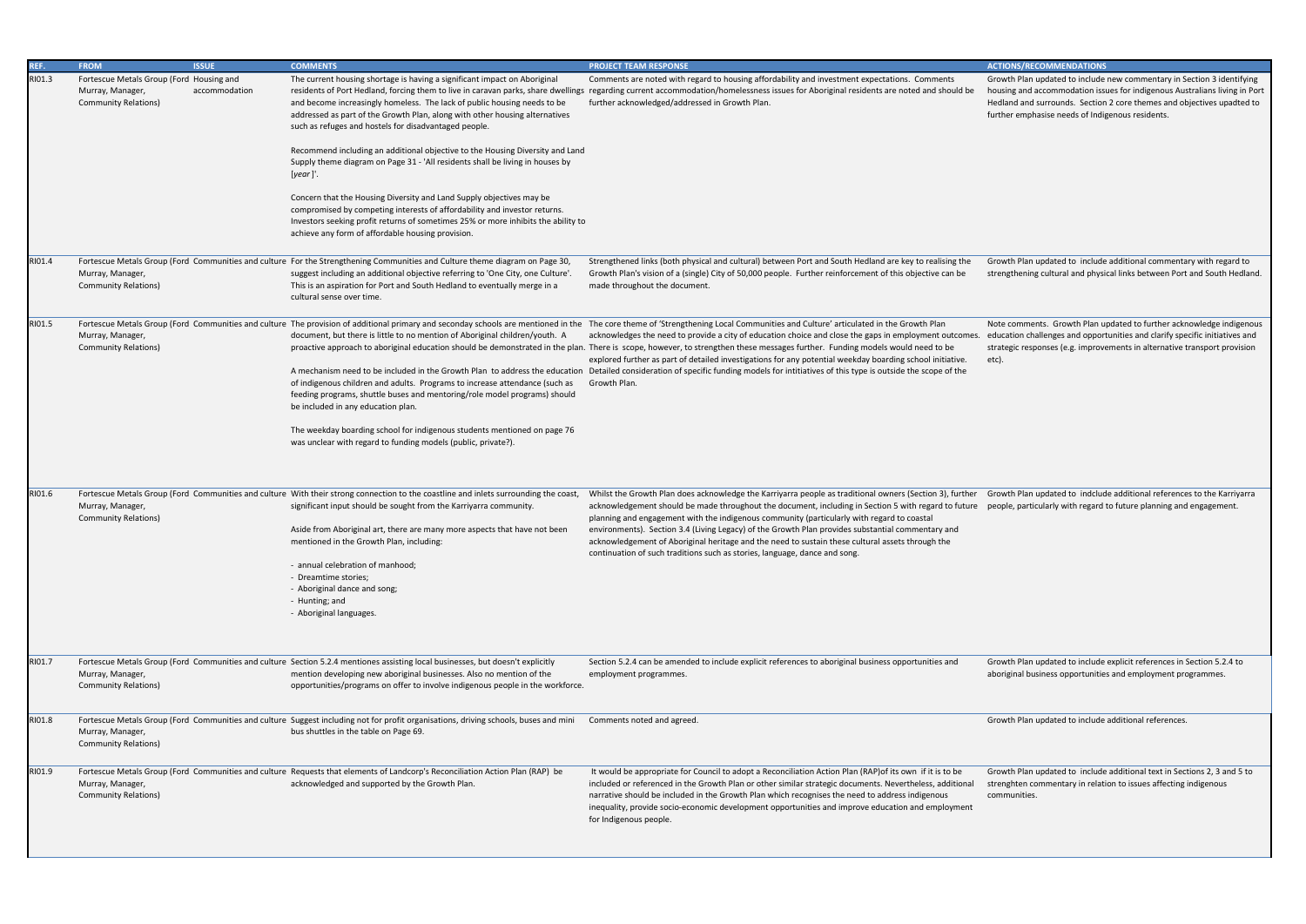Growth Plan updated to include new commentary in Section 3 identifying housing and accommodation issues for indigenous Australians living in Port Hedland and surrounds. Section 2 core themes and objectives upadted to further emphasise needs of Indigenous residents.

Growth Plan updated to include additional commentary with regard to strengthening cultural and physical links between Port and South Hedland.

| REF.<br>RI01.3 | <b>FROM</b><br>Fortescue Metals Group (Ford Housing and<br>Murray, Manager,<br><b>Community Relations)</b> | <b>ISSUE</b><br>accommodation | <b>COMMENTS</b><br>The current housing shortage is having a significant impact on Aboriginal<br>and become increasingly homeless. The lack of public housing needs to be<br>addressed as part of the Growth Plan, along with other housing alternatives<br>such as refuges and hostels for disadvantaged people.<br>Recommend including an additional objective to the Housing Diversity and Land<br>Supply theme diagram on Page 31 - 'All residents shall be living in houses by<br>[year]'.<br>Concern that the Housing Diversity and Land Supply objectives may be<br>compromised by competing interests of affordability and investor returns.<br>Investors seeking profit returns of sometimes 25% or more inhibits the ability to<br>achieve any form of affordable housing provision. | <b>PROJECT TEAM RESPONSE</b><br>Comments are noted with regard to housing affordability and investment expectations. Comments<br>residents of Port Hedland, forcing them to live in caravan parks, share dwellings regarding current accommodation/homelessness issues for Aboriginal residents are noted and should be<br>further acknowledged/addressed in Growth Plan.                                                                                                                                                                                                                                                                                                                                                                                                                                                                         | <b>ACTIONS/RECOMMENDATIONS</b><br>Growth Plan updated to include<br>housing and accommodation iss<br>Hedland and surrounds. Section<br>further emphasise needs of Indi |
|----------------|------------------------------------------------------------------------------------------------------------|-------------------------------|-----------------------------------------------------------------------------------------------------------------------------------------------------------------------------------------------------------------------------------------------------------------------------------------------------------------------------------------------------------------------------------------------------------------------------------------------------------------------------------------------------------------------------------------------------------------------------------------------------------------------------------------------------------------------------------------------------------------------------------------------------------------------------------------------|---------------------------------------------------------------------------------------------------------------------------------------------------------------------------------------------------------------------------------------------------------------------------------------------------------------------------------------------------------------------------------------------------------------------------------------------------------------------------------------------------------------------------------------------------------------------------------------------------------------------------------------------------------------------------------------------------------------------------------------------------------------------------------------------------------------------------------------------------|------------------------------------------------------------------------------------------------------------------------------------------------------------------------|
| RI01.4         | Murray, Manager,<br><b>Community Relations)</b>                                                            |                               | Fortescue Metals Group (Ford Communities and culture For the Strengthening Communities and Culture theme diagram on Page 30,<br>suggest including an additional objective referring to 'One City, one Culture'.<br>This is an aspiration for Port and South Hedland to eventually merge in a<br>cultural sense over time.                                                                                                                                                                                                                                                                                                                                                                                                                                                                     | Strengthened links (both physical and cultural) between Port and South Hedland are key to realising the<br>Growth Plan's vision of a (single) City of 50,000 people. Further reinforcement of this objective can be<br>made throughout the document.                                                                                                                                                                                                                                                                                                                                                                                                                                                                                                                                                                                              | Growth Plan updated to include<br>strengthening cultural and physi                                                                                                     |
| RI01.5         | Murray, Manager,<br><b>Community Relations)</b>                                                            |                               | document, but there is little to no mention of Aboriginal children/youth. A<br>of indigenous children and adults. Programs to increase attendance (such as<br>feeding programs, shuttle buses and mentoring/role model programs) should<br>be included in any education plan.<br>The weekday boarding school for indigenous students mentioned on page 76<br>was unclear with regard to funding models (public, private?).                                                                                                                                                                                                                                                                                                                                                                    | Fortescue Metals Group (Ford Communities and culture The provision of additional primary and seconday schools are mentioned in the The core theme of 'Strengthening Local Communities and Culture' articulated in the Growth P<br>acknowledges the need to provide a city of education choice and close the gaps in employment outcomes.<br>proactive approach to aboriginal education should be demonstrated in the plan. There is scope, however, to strengthen these messages further. Funding models would need to be<br>explored further as part of detailed investigations for any potential weekday boarding school initiative.<br>A mechanism need to be included in the Growth Plan to address the education Detailed consideration of specific funding models for intitiatives of this type is outside the scope of the<br>Growth Plan. | Note comments. Growth Plan u<br>education challenges and oppor<br>strategic responses (e.g. improv<br>etc).                                                            |
| RI01.6         | Murray, Manager,<br><b>Community Relations)</b>                                                            |                               | Fortescue Metals Group (Ford Communities and culture With their strong connection to the coastline and inlets surrounding the coast,<br>significant input should be sought from the Karriyarra community.<br>Aside from Aboriginal art, there are many more aspects that have not been<br>mentioned in the Growth Plan, including:<br>- annual celebration of manhood;<br>- Dreamtime stories;<br>- Aboriginal dance and song;<br>- Hunting; and<br>- Aboriginal languages.                                                                                                                                                                                                                                                                                                                   | Whilst the Growth Plan does acknowledge the Karriyarra people as traditional owners (Section 3), further<br>acknowledgement should be made throughout the document, including in Section 5 with regard to future<br>planning and engagement with the indigenous community (particularly with regard to coastal<br>environments). Section 3.4 (Living Legacy) of the Growth Plan provides substantial commentary and<br>acknowledgement of Aboriginal heritage and the need to sustain these cultural assets through the<br>continuation of such traditions such as stories, language, dance and song.                                                                                                                                                                                                                                             | Growth Plan updated to indclud<br>people, particularly with regard                                                                                                     |
| RI01.7         | Murray, Manager,<br><b>Community Relations)</b>                                                            |                               | Fortescue Metals Group (Ford Communities and culture Section 5.2.4 mentiones assisting local businesses, but doesn't explicitly<br>mention developing new aboriginal businesses. Also no mention of the<br>opportunities/programs on offer to involve indigenous people in the workforce.                                                                                                                                                                                                                                                                                                                                                                                                                                                                                                     | Section 5.2.4 can be amended to include explicit references to aboriginal business opportunities and<br>employment programmes.                                                                                                                                                                                                                                                                                                                                                                                                                                                                                                                                                                                                                                                                                                                    | Growth Plan updated to include<br>aboriginal business opportunitie                                                                                                     |
| RIO1.8         | Murray, Manager,<br><b>Community Relations)</b>                                                            |                               | Fortescue Metals Group (Ford Communities and culture Suggest including not for profit organisations, driving schools, buses and mini<br>bus shuttles in the table on Page 69.                                                                                                                                                                                                                                                                                                                                                                                                                                                                                                                                                                                                                 | Comments noted and agreed.                                                                                                                                                                                                                                                                                                                                                                                                                                                                                                                                                                                                                                                                                                                                                                                                                        | Growth Plan updated to include                                                                                                                                         |
| RIO1.9         | Murray, Manager,<br><b>Community Relations)</b>                                                            |                               | Fortescue Metals Group (Ford Communities and culture Requests that elements of Landcorp's Reconciliation Action Plan (RAP) be<br>acknowledged and supported by the Growth Plan.                                                                                                                                                                                                                                                                                                                                                                                                                                                                                                                                                                                                               | It would be appropriate for Council to adopt a Reconciliation Action Plan (RAP) of its own if it is to be<br>included or referenced in the Growth Plan or other similar strategic documents. Nevertheless, additional<br>narrative should be included in the Growth Plan which recognises the need to address indigenous<br>inequality, provide socio-economic development opportunities and improve education and employment<br>for Indigenous people.                                                                                                                                                                                                                                                                                                                                                                                           | Growth Plan updated to include<br>strenghten commentary in relat<br>communities.                                                                                       |

Note comments. Growth Plan updated to further acknowledge indigenous education challenges and opportunities and clarify specific initiatives and strategic responses (e.g. improvements in alternative transport provision etc).

Growth Plan updated to indclude additional references to the Karriyarra people, particularly with regard to future planning and engagement.

Growth Plan updated to include explicit references in Section 5.2.4 to aboriginal business opportunities and employment programmes.

Growth Plan updated to include additional references.

Growth Plan updated to include additional text in Sections 2, 3 and 5 to strenghten commentary in relation to issues affecting indigenous communities.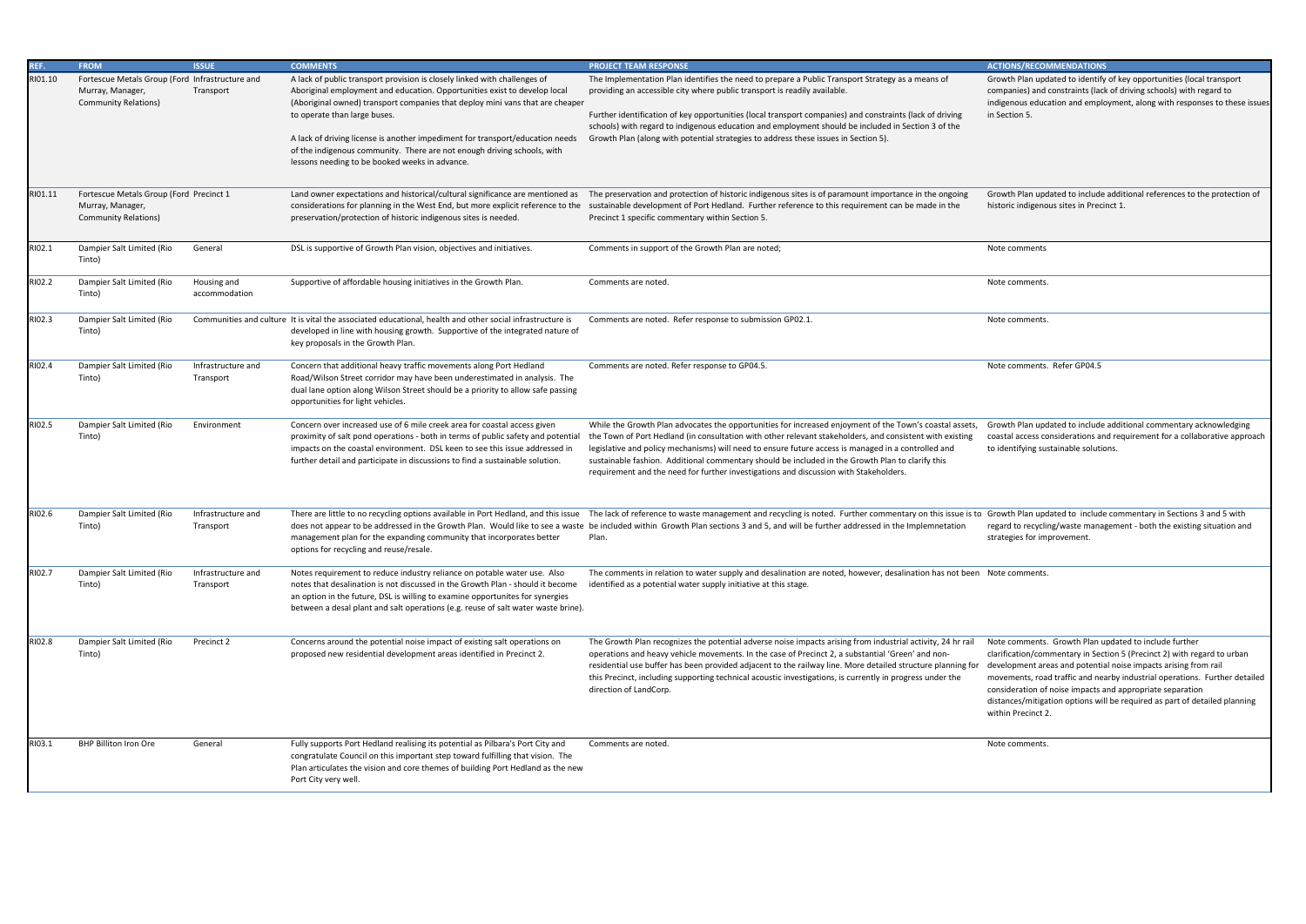Growth Plan updated to identify of key opportunities (local transport companies) and constraints (lack of driving schools) with regard to indigenous education and employment, along with responses to these issues in Section 5.

Growth Plan updated to include additional references to the protection of historic indigenous sites in Precinct 1.

Note comments. Refer GP04.5

| REF.    | <b>FROM</b>                                                                                        | <b>ISSUE</b>                    | <b>COMMENTS</b>                                                                                                                                                                                                                                                                                                                  | <b>PROJECT TEAM RESPONSE</b>                                                                                                                                                                                                                                                                                                                                                                                                                                                                                            | <b>ACTIONS/RECON</b>                                                                                                                   |
|---------|----------------------------------------------------------------------------------------------------|---------------------------------|----------------------------------------------------------------------------------------------------------------------------------------------------------------------------------------------------------------------------------------------------------------------------------------------------------------------------------|-------------------------------------------------------------------------------------------------------------------------------------------------------------------------------------------------------------------------------------------------------------------------------------------------------------------------------------------------------------------------------------------------------------------------------------------------------------------------------------------------------------------------|----------------------------------------------------------------------------------------------------------------------------------------|
| RI01.10 | Fortescue Metals Group (Ford Infrastructure and<br>Murray, Manager,<br><b>Community Relations)</b> | Transport                       | A lack of public transport provision is closely linked with challenges of<br>Aboriginal employment and education. Opportunities exist to develop local<br>(Aboriginal owned) transport companies that deploy mini vans that are cheaper<br>to operate than large buses.                                                          | The Implementation Plan identifies the need to prepare a Public Transport Strategy as a means of<br>providing an accessible city where public transport is readily available.<br>Further identification of key opportunities (local transport companies) and constraints (lack of driving<br>schools) with regard to indigenous education and employment should be included in Section 3 of the                                                                                                                         | Growth Plan upd<br>companies) and<br>indigenous educa<br>in Section 5.                                                                 |
|         |                                                                                                    |                                 | A lack of driving license is another impediment for transport/education needs<br>of the indigenous community. There are not enough driving schools, with<br>lessons needing to be booked weeks in advance.                                                                                                                       | Growth Plan (along with potential strategies to address these issues in Section 5).                                                                                                                                                                                                                                                                                                                                                                                                                                     |                                                                                                                                        |
| RI01.11 | Fortescue Metals Group (Ford Precinct 1<br>Murray, Manager,<br><b>Community Relations)</b>         |                                 | preservation/protection of historic indigenous sites is needed.                                                                                                                                                                                                                                                                  | Land owner expectations and historical/cultural significance are mentioned as The preservation and protection of historic indigenous sites is of paramount importance in the ongoing<br>considerations for planning in the West End, but more explicit reference to the sustainable development of Port Hedland. Further reference to this requirement can be made in the<br>Precinct 1 specific commentary within Section 5.                                                                                           | Growth Plan upd<br>historic indigeno                                                                                                   |
| RI02.1  | Dampier Salt Limited (Rio<br>Tinto)                                                                | General                         | DSL is supportive of Growth Plan vision, objectives and initiatives.                                                                                                                                                                                                                                                             | Comments in support of the Growth Plan are noted;                                                                                                                                                                                                                                                                                                                                                                                                                                                                       | Note comments                                                                                                                          |
| RI02.2  | Dampier Salt Limited (Rio<br>Tinto)                                                                | Housing and<br>accommodation    | Supportive of affordable housing initiatives in the Growth Plan.                                                                                                                                                                                                                                                                 | Comments are noted.                                                                                                                                                                                                                                                                                                                                                                                                                                                                                                     | Note comments.                                                                                                                         |
| RI02.3  | Dampier Salt Limited (Rio<br>Tinto)                                                                |                                 | Communities and culture It is vital the associated educational, health and other social infrastructure is<br>developed in line with housing growth. Supportive of the integrated nature of<br>key proposals in the Growth Plan.                                                                                                  | Comments are noted. Refer response to submission GP02.1.                                                                                                                                                                                                                                                                                                                                                                                                                                                                | Note comments.                                                                                                                         |
| RI02.4  | Dampier Salt Limited (Rio<br>Tinto)                                                                | Infrastructure and<br>Transport | Concern that additional heavy traffic movements along Port Hedland<br>Road/Wilson Street corridor may have been underestimated in analysis. The<br>dual lane option along Wilson Street should be a priority to allow safe passing<br>opportunities for light vehicles.                                                          | Comments are noted. Refer response to GP04.5.                                                                                                                                                                                                                                                                                                                                                                                                                                                                           | Note comments.                                                                                                                         |
| RI02.5  | Dampier Salt Limited (Rio<br>Tinto)                                                                | Environment                     | Concern over increased use of 6 mile creek area for coastal access given<br>proximity of salt pond operations - both in terms of public safety and potential<br>impacts on the coastal environment. DSL keen to see this issue addressed in<br>further detail and participate in discussions to find a sustainable solution.     | While the Growth Plan advocates the opportunities for increased enjoyment of the Town's coastal assets,<br>the Town of Port Hedland (in consultation with other relevant stakeholders, and consistent with existing<br>legislative and policy mechanisms) will need to ensure future access is managed in a controlled and<br>sustainable fashion. Additional commentary should be included in the Growth Plan to clarify this<br>requirement and the need for further investigations and discussion with Stakeholders. | Growth Plan upd<br>coastal access co<br>to identifying sus                                                                             |
| RI02.6  | Dampier Salt Limited (Rio<br>Tinto)                                                                | Infrastructure and<br>Transport | management plan for the expanding community that incorporates better<br>options for recycling and reuse/resale.                                                                                                                                                                                                                  | There are little to no recycling options available in Port Hedland, and this issue The lack of reference to waste management and recycling is noted. Further commentary on this issue is to Growth Plan upd<br>does not appear to be addressed in the Growth Plan. Would like to see a waste be included within Growth Plan sections 3 and 5, and will be further addressed in the Implemnetation<br>Plan.                                                                                                              | regard to recyclin<br>strategies for im                                                                                                |
| RI02.7  | Dampier Salt Limited (Rio<br>Tinto)                                                                | Infrastructure and<br>Transport | Notes requirement to reduce industry reliance on potable water use. Also<br>notes that desalination is not discussed in the Growth Plan - should it become<br>an option in the future, DSL is willing to examine opportunites for synergies<br>between a desal plant and salt operations (e.g. reuse of salt water waste brine). | The comments in relation to water supply and desalination are noted, however, desalination has not been Note comments.<br>identified as a potential water supply initiative at this stage.                                                                                                                                                                                                                                                                                                                              |                                                                                                                                        |
| RI02.8  | Dampier Salt Limited (Rio<br>Tinto)                                                                | Precinct 2                      | Concerns around the potential noise impact of existing salt operations on<br>proposed new residential development areas identified in Precinct 2.                                                                                                                                                                                | The Growth Plan recognizes the potential adverse noise impacts arising from industrial activity, 24 hr rail<br>operations and heavy vehicle movements. In the case of Precinct 2, a substantial 'Green' and non-<br>residential use buffer has been provided adjacent to the railway line. More detailed structure planning for<br>this Precinct, including supporting technical acoustic investigations, is currently in progress under the<br>direction of LandCorp.                                                  | Note comments.<br>clarification/com<br>development are<br>movements, road<br>consideration of<br>distances/mitiga<br>within Precinct 2 |
| RI03.1  | <b>BHP Billiton Iron Ore</b>                                                                       | General                         | Fully supports Port Hedland realising its potential as Pilbara's Port City and<br>congratulate Council on this important step toward fulfilling that vision. The<br>Plan articulates the vision and core themes of building Port Hedland as the new<br>Port City very well.                                                      | Comments are noted.                                                                                                                                                                                                                                                                                                                                                                                                                                                                                                     | Note comments.                                                                                                                         |

Growth Plan updated to include additional commentary acknowledging coastal access considerations and requirement for a collaborative approach to identifying sustainable solutions.

Growth Plan updated to include commentary in Sections 3 and 5 with regard to recycling/waste management - both the existing situation and strategies for improvement.

Note comments. Growth Plan updated to include further clarification/commentary in Section 5 (Precinct 2) with regard to urban development areas and potential noise impacts arising from rail movements, road traffic and nearby industrial operations. Further detailed consideration of noise impacts and appropriate separation distances/mitigation options will be required as part of detailed planning within Precinct 2.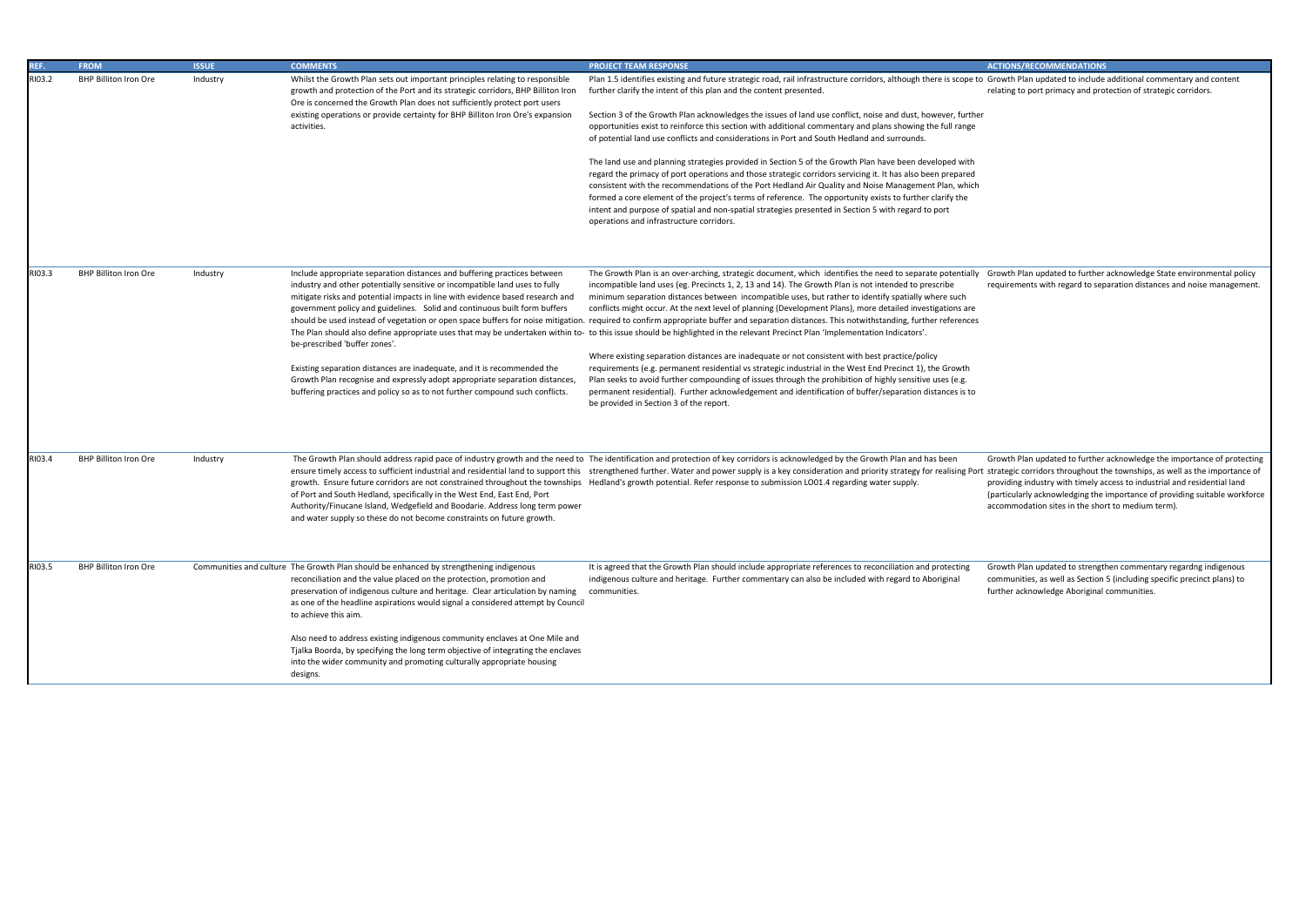Growth Plan updated to include additional commentary and content relating to port primacy and protection of strategic corridors.

| REF.   | <b>FROM</b>                  | <b>ISSUE</b> | <b>COMMENTS</b>                                                                                                                                                                                                                                                                                                                                                                                                                                                                                                                                                                                                    | <b>PROJECT TEAM RESPONSE</b>                                                                                                                                                                                                                                                                                                                                                                                                                                                                                                                                                                                                                                                                                                                                                                                                                                                                                                                                                                                                                                                                                                                                                                                                                                                                          |
|--------|------------------------------|--------------|--------------------------------------------------------------------------------------------------------------------------------------------------------------------------------------------------------------------------------------------------------------------------------------------------------------------------------------------------------------------------------------------------------------------------------------------------------------------------------------------------------------------------------------------------------------------------------------------------------------------|-------------------------------------------------------------------------------------------------------------------------------------------------------------------------------------------------------------------------------------------------------------------------------------------------------------------------------------------------------------------------------------------------------------------------------------------------------------------------------------------------------------------------------------------------------------------------------------------------------------------------------------------------------------------------------------------------------------------------------------------------------------------------------------------------------------------------------------------------------------------------------------------------------------------------------------------------------------------------------------------------------------------------------------------------------------------------------------------------------------------------------------------------------------------------------------------------------------------------------------------------------------------------------------------------------|
| RI03.2 | <b>BHP Billiton Iron Ore</b> | Industry     | Whilst the Growth Plan sets out important principles relating to responsible<br>growth and protection of the Port and its strategic corridors, BHP Billiton Iron<br>Ore is concerned the Growth Plan does not sufficiently protect port users<br>existing operations or provide certainty for BHP Billiton Iron Ore's expansion<br>activities.                                                                                                                                                                                                                                                                     | Plan 1.5 identifies existing and future strategic road, rail infrastructure corridors, although there is scope to<br>further clarify the intent of this plan and the content presented.<br>Section 3 of the Growth Plan acknowledges the issues of land use conflict, noise and dust, however, further<br>opportunities exist to reinforce this section with additional commentary and plans showing the full range<br>of potential land use conflicts and considerations in Port and South Hedland and surrounds.<br>The land use and planning strategies provided in Section 5 of the Growth Plan have been developed with<br>regard the primacy of port operations and those strategic corridors servicing it. It has also been prepared<br>consistent with the recommendations of the Port Hedland Air Quality and Noise Management Plan, which<br>formed a core element of the project's terms of reference. The opportunity exists to further clarify the<br>intent and purpose of spatial and non-spatial strategies presented in Section 5 with regard to port<br>operations and infrastructure corridors.                                                                                                                                                                                    |
| RI03.3 | <b>BHP Billiton Iron Ore</b> | Industry     | Include appropriate separation distances and buffering practices between<br>industry and other potentially sensitive or incompatible land uses to fully<br>mitigate risks and potential impacts in line with evidence based research and<br>government policy and guidelines. Solid and continuous built form buffers<br>be-prescribed 'buffer zones'.<br>Existing separation distances are inadequate, and it is recommended the<br>Growth Plan recognise and expressly adopt appropriate separation distances,<br>buffering practices and policy so as to not further compound such conflicts.                   | The Growth Plan is an over-arching, strategic document, which identifies the need to separate potentially<br>incompatible land uses (eg. Precincts 1, 2, 13 and 14). The Growth Plan is not intended to prescribe<br>minimum separation distances between incompatible uses, but rather to identify spatially where such<br>conflicts might occur. At the next level of planning (Development Plans), more detailed investigations are<br>should be used instead of vegetation or open space buffers for noise mitigation. required to confirm appropriate buffer and separation distances. This notwithstanding, further references<br>The Plan should also define appropriate uses that may be undertaken within to- to this issue should be highlighted in the relevant Precinct Plan 'Implementation Indicators'.<br>Where existing separation distances are inadequate or not consistent with best practice/policy<br>requirements (e.g. permanent residential vs strategic industrial in the West End Precinct 1), the Growth<br>Plan seeks to avoid further compounding of issues through the prohibition of highly sensitive uses (e.g.<br>permanent residential). Further acknowledgement and identification of buffer/separation distances is to<br>be provided in Section 3 of the report. |
| RI03.4 | <b>BHP Billiton Iron Ore</b> | Industry     | of Port and South Hedland, specifically in the West End, East End, Port<br>Authority/Finucane Island, Wedgefield and Boodarie. Address long term power<br>and water supply so these do not become constraints on future growth.                                                                                                                                                                                                                                                                                                                                                                                    | The Growth Plan should address rapid pace of industry growth and the need to The identification and protection of key corridors is acknowledged by the Growth Plan and has been<br>ensure timely access to sufficient industrial and residential land to support this strengthened further. Water and power supply is a key consideration and priority strategy for realising Port<br>growth. Ensure future corridors are not constrained throughout the townships Hedland's growth potential. Refer response to submission LO01.4 regarding water supply.                                                                                                                                                                                                                                                                                                                                                                                                                                                                                                                                                                                                                                                                                                                                            |
| RI03.5 | <b>BHP Billiton Iron Ore</b> |              | Communities and culture The Growth Plan should be enhanced by strengthening indigenous<br>reconciliation and the value placed on the protection, promotion and<br>preservation of indigenous culture and heritage. Clear articulation by naming<br>as one of the headline aspirations would signal a considered attempt by Council<br>to achieve this aim.<br>Also need to address existing indigenous community enclaves at One Mile and<br>Tjalka Boorda, by specifying the long term objective of integrating the enclaves<br>into the wider community and promoting culturally appropriate housing<br>designs. | It is agreed that the Growth Plan should include appropriate references to reconciliation and protecting<br>indigenous culture and heritage. Further commentary can also be included with regard to Aboriginal<br>communities.                                                                                                                                                                                                                                                                                                                                                                                                                                                                                                                                                                                                                                                                                                                                                                                                                                                                                                                                                                                                                                                                        |

Growth Plan updated to further acknowledge State environmental policy requirements with regard to separation distances and noise management.

Growth Plan updated to further acknowledge the importance of protecting t strategic corridors throughout the townships, as well as the importance of providing industry with timely access to industrial and residential land (particularly acknowledging the importance of providing suitable workforce accommodation sites in the short to medium term).

Growth Plan updated to strengthen commentary regardng indigenous communities, as well as Section 5 (including specific precinct plans) to further acknowledge Aboriginal communities.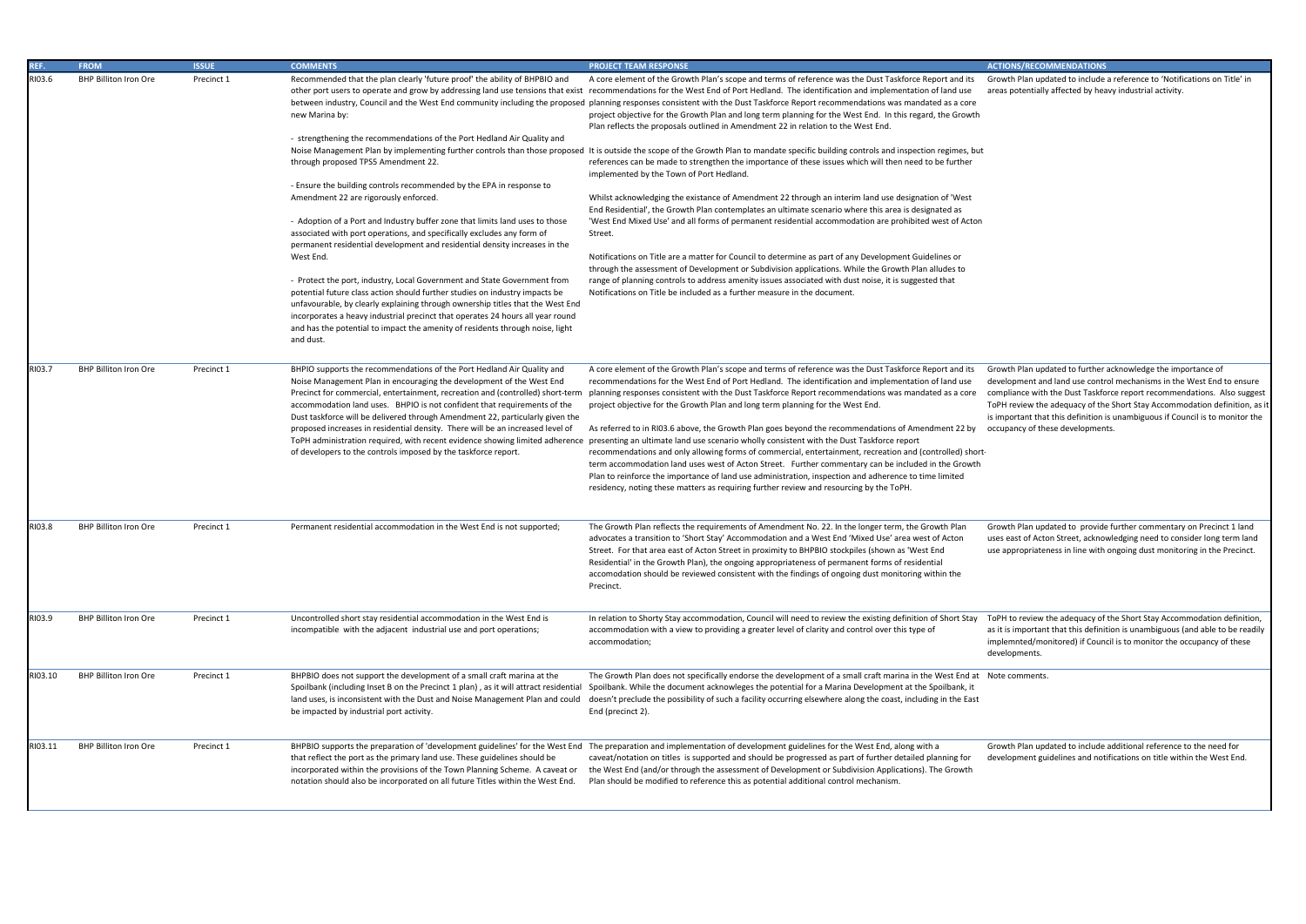Growth Plan updated to include a reference to 'Notifications on Title' in areas potentially affected by heavy industrial activity.

| REF.    | <b>FROM</b>                  | <b>ISSUE</b> | <b>COMMENTS</b>                                                                                                                                                                                                                                                                                                                                                                                                                                                                                                                                                 | <b>PROJECT TEAM RESPONSE</b>                                                                                                                                                                                                                                                                                                                                                                                                                                                                                                                                                                                                                                                       |
|---------|------------------------------|--------------|-----------------------------------------------------------------------------------------------------------------------------------------------------------------------------------------------------------------------------------------------------------------------------------------------------------------------------------------------------------------------------------------------------------------------------------------------------------------------------------------------------------------------------------------------------------------|------------------------------------------------------------------------------------------------------------------------------------------------------------------------------------------------------------------------------------------------------------------------------------------------------------------------------------------------------------------------------------------------------------------------------------------------------------------------------------------------------------------------------------------------------------------------------------------------------------------------------------------------------------------------------------|
| RI03.6  | <b>BHP Billiton Iron Ore</b> | Precinct 1   | Recommended that the plan clearly 'future proof' the ability of BHPBIO and<br>new Marina by:<br>- strengthening the recommendations of the Port Hedland Air Quality and                                                                                                                                                                                                                                                                                                                                                                                         | A core element of the Growth Plan's scope and terms of reference was the Dust Taskforce Report and its<br>other port users to operate and grow by addressing land use tensions that exist recommendations for the West End of Port Hedland. The identification and implementation of land use<br>between industry, Council and the West End community including the proposed planning responses consistent with the Dust Taskforce Report recommendations was mandated as a core<br>project objective for the Growth Plan and long term planning for the West End. In this regard, the Growth<br>Plan reflects the proposals outlined in Amendment 22 in relation to the West End. |
|         |                              |              | through proposed TPS5 Amendment 22.                                                                                                                                                                                                                                                                                                                                                                                                                                                                                                                             | Noise Management Plan by implementing further controls than those proposed It is outside the scope of the Growth Plan to mandate specific building controls and inspection regimes, but<br>references can be made to strengthen the importance of these issues which will then need to be further<br>implemented by the Town of Port Hedland.                                                                                                                                                                                                                                                                                                                                      |
|         |                              |              | - Ensure the building controls recommended by the EPA in response to<br>Amendment 22 are rigorously enforced.                                                                                                                                                                                                                                                                                                                                                                                                                                                   | Whilst acknowledging the existance of Amendment 22 through an interim land use designation of 'West<br>End Residential', the Growth Plan contemplates an ultimate scenario where this area is designated as                                                                                                                                                                                                                                                                                                                                                                                                                                                                        |
|         |                              |              | - Adoption of a Port and Industry buffer zone that limits land uses to those<br>associated with port operations, and specifically excludes any form of<br>permanent residential development and residential density increases in the                                                                                                                                                                                                                                                                                                                            | 'West End Mixed Use' and all forms of permanent residential accommodation are prohibited west of Acton<br>Street.                                                                                                                                                                                                                                                                                                                                                                                                                                                                                                                                                                  |
|         |                              |              | West End.<br>- Protect the port, industry, Local Government and State Government from                                                                                                                                                                                                                                                                                                                                                                                                                                                                           | Notifications on Title are a matter for Council to determine as part of any Development Guidelines or<br>through the assessment of Development or Subdivision applications. While the Growth Plan alludes to<br>range of planning controls to address amenity issues associated with dust noise, it is suggested that                                                                                                                                                                                                                                                                                                                                                              |
|         |                              |              | potential future class action should further studies on industry impacts be<br>unfavourable, by clearly explaining through ownership titles that the West End<br>incorporates a heavy industrial precinct that operates 24 hours all year round<br>and has the potential to impact the amenity of residents through noise, light<br>and dust.                                                                                                                                                                                                                   | Notifications on Title be included as a further measure in the document.                                                                                                                                                                                                                                                                                                                                                                                                                                                                                                                                                                                                           |
| RI03.7  | <b>BHP Billiton Iron Ore</b> | Precinct 1   | BHPIO supports the recommendations of the Port Hedland Air Quality and<br>Noise Management Plan in encouraging the development of the West End<br>Precinct for commercial, entertainment, recreation and (controlled) short-term<br>accommodation land uses. BHPIO is not confident that requirements of the<br>Dust taskforce will be delivered through Amendment 22, particularly given the<br>proposed increases in residential density. There will be an increased level of<br>ToPH administration required, with recent evidence showing limited adherence | A core element of the Growth Plan's scope and terms of reference was the Dust Taskforce Report and its<br>recommendations for the West End of Port Hedland. The identification and implementation of land use<br>planning responses consistent with the Dust Taskforce Report recommendations was mandated as a core<br>project objective for the Growth Plan and long term planning for the West End.<br>As referred to in RI03.6 above, the Growth Plan goes beyond the recommendations of Amendment 22 by<br>presenting an ultimate land use scenario wholly consistent with the Dust Taskforce report                                                                          |
|         |                              |              | of developers to the controls imposed by the taskforce report.                                                                                                                                                                                                                                                                                                                                                                                                                                                                                                  | recommendations and only allowing forms of commercial, entertainment, recreation and (controlled) short-<br>term accommodation land uses west of Acton Street. Further commentary can be included in the Growth<br>Plan to reinforce the importance of land use administration, inspection and adherence to time limited<br>residency, noting these matters as requiring further review and resourcing by the ToPH.                                                                                                                                                                                                                                                                |
| RI03.8  | <b>BHP Billiton Iron Ore</b> | Precinct 1   | Permanent residential accommodation in the West End is not supported;                                                                                                                                                                                                                                                                                                                                                                                                                                                                                           | The Growth Plan reflects the requirements of Amendment No. 22. In the longer term, the Growth Plan<br>advocates a transition to 'Short Stay' Accommodation and a West End 'Mixed Use' area west of Acton<br>Street. For that area east of Acton Street in proximity to BHPBIO stockpiles (shown as 'West End<br>Residential' in the Growth Plan), the ongoing appropriateness of permanent forms of residential<br>accomodation should be reviewed consistent with the findings of ongoing dust monitoring within the<br>Precinct.                                                                                                                                                 |
| RI03.9  | <b>BHP Billiton Iron Ore</b> | Precinct 1   | Uncontrolled short stay residential accommodation in the West End is<br>incompatible with the adjacent industrial use and port operations;                                                                                                                                                                                                                                                                                                                                                                                                                      | In relation to Shorty Stay accommodation, Council will need to review the existing definition of Short Stay<br>accommodation with a view to providing a greater level of clarity and control over this type of<br>accommodation;                                                                                                                                                                                                                                                                                                                                                                                                                                                   |
| RI03.10 | <b>BHP Billiton Iron Ore</b> | Precinct 1   | BHPBIO does not support the development of a small craft marina at the<br>Spoilbank (including Inset B on the Precinct 1 plan), as it will attract residential<br>land uses, is inconsistent with the Dust and Noise Management Plan and could<br>be impacted by industrial port activity.                                                                                                                                                                                                                                                                      | The Growth Plan does not specifically endorse the development of a small craft marina in the West End at<br>Spoilbank. While the document acknowleges the potential for a Marina Development at the Spoilbank, it<br>doesn't preclude the possibility of such a facility occurring elsewhere along the coast, including in the East<br>End (precinct 2).                                                                                                                                                                                                                                                                                                                           |
| RI03.11 | <b>BHP Billiton Iron Ore</b> | Precinct 1   | that reflect the port as the primary land use. These guidelines should be<br>incorporated within the provisions of the Town Planning Scheme. A caveat or<br>notation should also be incorporated on all future Titles within the West End.                                                                                                                                                                                                                                                                                                                      | BHPBIO supports the preparation of 'development guidelines' for the West End The preparation and implementation of development guidelines for the West End, along with a<br>caveat/notation on titles is supported and should be progressed as part of further detailed planning for<br>the West End (and/or through the assessment of Development or Subdivision Applications). The Growth<br>Plan should be modified to reference this as potential additional control mechanism.                                                                                                                                                                                                |

Growth Plan updated to further acknowledge the importance of development and land use control mechanisms in the West End to ensure compliance with the Dust Taskforce report recommendations. Also suggest ToPH review the adequacy of the Short Stay Accommodation definition, as it is important that this definition is unambiguous if Council is to monitor the occupancy of these developments.

Growth Plan updated to provide further commentary on Precinct 1 land uses east of Acton Street, acknowledging need to consider long term land use appropriateness in line with ongoing dust monitoring in the Precinct.

ToPH to review the adequacy of the Short Stay Accommodation definition, as it is important that this definition is unambiguous (and able to be readily implemnted/monitored) if Council is to monitor the occupancy of these developments.

Note comments.

Growth Plan updated to include additional reference to the need for development guidelines and notifications on title within the West End.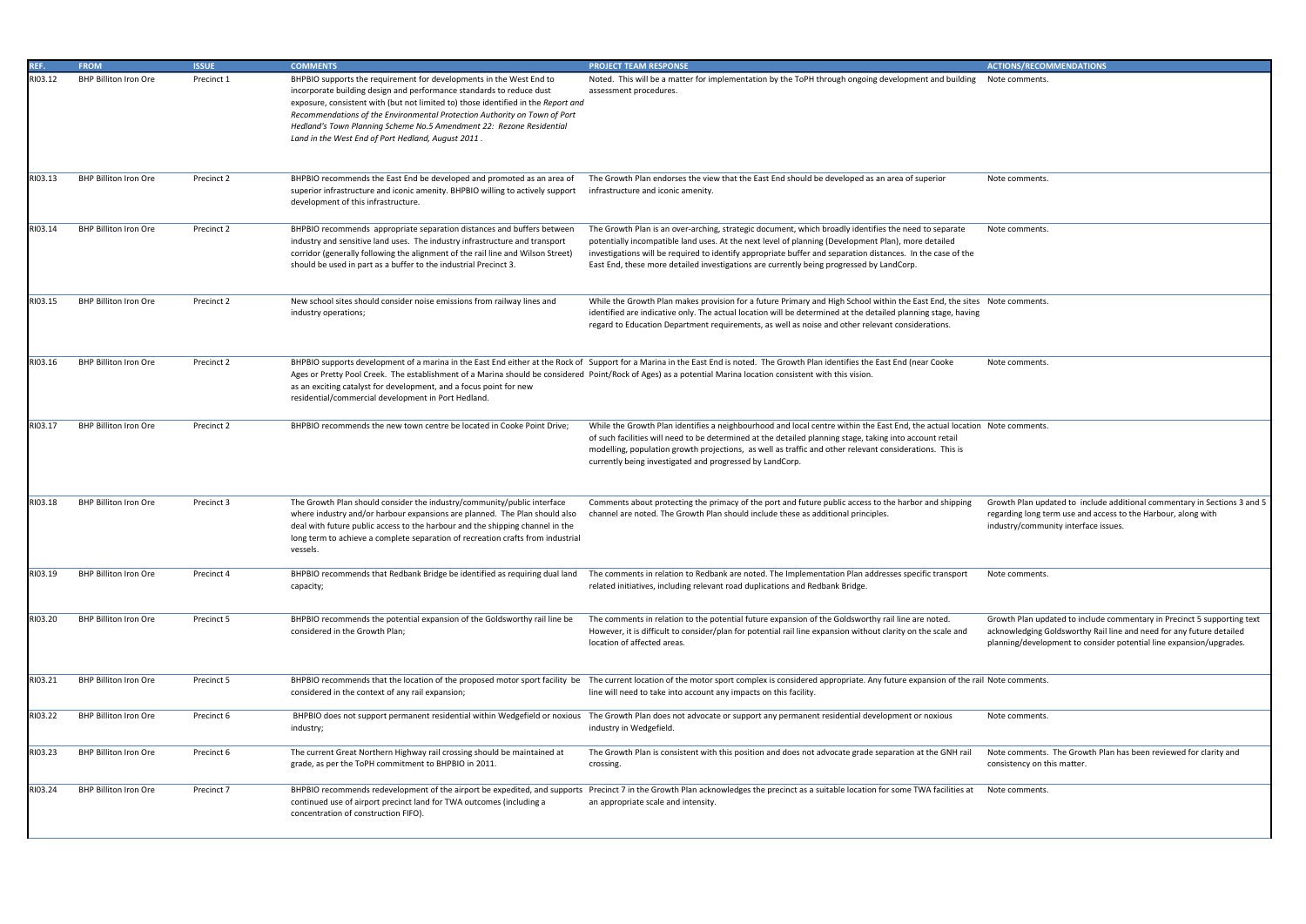|   | <b>ACTIONS/RECOMMENDATIONS</b>                                                                                                                                                                                         |
|---|------------------------------------------------------------------------------------------------------------------------------------------------------------------------------------------------------------------------|
|   | Note comments.                                                                                                                                                                                                         |
|   | Note comments.                                                                                                                                                                                                         |
|   | Note comments.                                                                                                                                                                                                         |
| Š | Note comments.                                                                                                                                                                                                         |
|   | Note comments.                                                                                                                                                                                                         |
|   | n Note comments.                                                                                                                                                                                                       |
|   | Growth Plan updated to include additional commentary in Sections 3 and 5<br>regarding long term use and access to the Harbour, along with<br>industry/community interface issues.                                      |
|   | Note comments.                                                                                                                                                                                                         |
|   | Growth Plan updated to include commentary in Precinct 5 supporting text<br>acknowledging Goldsworthy Rail line and need for any future detailed<br>planning/development to consider potential line expansion/upgrades. |

| REF.    | <b>FROM</b>                  | <b>ISSUE</b> | <b>COMMENTS</b>                                                                                                                                                                                                                                                                                                                                                                                                                             | <b>PROJECT TEAM RESPONSE</b>                                                                                                                                                                                                                                                                                                                                                                                            | <b>ACTIONS/RECOMMENDATIONS</b>                                                                       |
|---------|------------------------------|--------------|---------------------------------------------------------------------------------------------------------------------------------------------------------------------------------------------------------------------------------------------------------------------------------------------------------------------------------------------------------------------------------------------------------------------------------------------|-------------------------------------------------------------------------------------------------------------------------------------------------------------------------------------------------------------------------------------------------------------------------------------------------------------------------------------------------------------------------------------------------------------------------|------------------------------------------------------------------------------------------------------|
| RI03.12 | <b>BHP Billiton Iron Ore</b> | Precinct 1   | BHPBIO supports the requirement for developments in the West End to<br>incorporate building design and performance standards to reduce dust<br>exposure, consistent with (but not limited to) those identified in the Report and<br>Recommendations of the Environmental Protection Authority on Town of Port<br>Hedland's Town Planning Scheme No.5 Amendment 22: Rezone Residential<br>Land in the West End of Port Hedland, August 2011. | Noted. This will be a matter for implementation by the ToPH through ongoing development and building<br>assessment procedures.                                                                                                                                                                                                                                                                                          | Note comments.                                                                                       |
| RI03.13 | <b>BHP Billiton Iron Ore</b> | Precinct 2   | BHPBIO recommends the East End be developed and promoted as an area of<br>superior infrastructure and iconic amenity. BHPBIO willing to actively support<br>development of this infrastructure.                                                                                                                                                                                                                                             | The Growth Plan endorses the view that the East End should be developed as an area of superior<br>infrastructure and iconic amenity.                                                                                                                                                                                                                                                                                    | Note comments.                                                                                       |
| RI03.14 | <b>BHP Billiton Iron Ore</b> | Precinct 2   | BHPBIO recommends appropriate separation distances and buffers betweer<br>industry and sensitive land uses. The industry infrastructure and transport<br>corridor (generally following the alignment of the rail line and Wilson Street)<br>should be used in part as a buffer to the industrial Precinct 3.                                                                                                                                | The Growth Plan is an over-arching, strategic document, which broadly identifies the need to separate<br>potentially incompatible land uses. At the next level of planning (Development Plan), more detailed<br>investigations will be required to identify appropriate buffer and separation distances. In the case of the<br>East End, these more detailed investigations are currently being progressed by LandCorp. | Note comments.                                                                                       |
| RI03.15 | <b>BHP Billiton Iron Ore</b> | Precinct 2   | New school sites should consider noise emissions from railway lines and<br>industry operations;                                                                                                                                                                                                                                                                                                                                             | While the Growth Plan makes provision for a future Primary and High School within the East End, the sites Note comments.<br>identified are indicative only. The actual location will be determined at the detailed planning stage, having<br>regard to Education Department requirements, as well as noise and other relevant considerations.                                                                           |                                                                                                      |
| RI03.16 | <b>BHP Billiton Iron Ore</b> | Precinct 2   | Ages or Pretty Pool Creek. The establishment of a Marina should be considered Point/Rock of Ages) as a potential Marina location consistent with this vision.<br>as an exciting catalyst for development, and a focus point for new<br>residential/commercial development in Port Hedland.                                                                                                                                                  | BHPBIO supports development of a marina in the East End either at the Rock of Support for a Marina in the East End is noted. The Growth Plan identifies the East End (near Cooke                                                                                                                                                                                                                                        | Note comments.                                                                                       |
| RI03.17 | <b>BHP Billiton Iron Ore</b> | Precinct 2   | BHPBIO recommends the new town centre be located in Cooke Point Drive;                                                                                                                                                                                                                                                                                                                                                                      | While the Growth Plan identifies a neighbourhood and local centre within the East End, the actual location Note comments.<br>of such facilities will need to be determined at the detailed planning stage, taking into account retail<br>modelling, population growth projections, as well as traffic and other relevant considerations. This is<br>currently being investigated and progressed by LandCorp.            |                                                                                                      |
| RI03.18 | <b>BHP Billiton Iron Ore</b> | Precinct 3   | The Growth Plan should consider the industry/community/public interface<br>where industry and/or harbour expansions are planned. The Plan should also<br>deal with future public access to the harbour and the shipping channel in the<br>long term to achieve a complete separation of recreation crafts from industrial<br>vessels.                                                                                                       | Comments about protecting the primacy of the port and future public access to the harbor and shipping<br>channel are noted. The Growth Plan should include these as additional principles.                                                                                                                                                                                                                              | Growth Plan updated to include<br>regarding long term use and acc<br>industry/community interface is |
| RI03.19 | <b>BHP Billiton Iron Ore</b> | Precinct 4   | BHPBIO recommends that Redbank Bridge be identified as requiring dual land<br>capacity;                                                                                                                                                                                                                                                                                                                                                     | The comments in relation to Redbank are noted. The Implementation Plan addresses specific transport<br>related initiatives, including relevant road duplications and Redbank Bridge.                                                                                                                                                                                                                                    | Note comments.                                                                                       |
| RI03.20 | <b>BHP Billiton Iron Ore</b> | Precinct 5   | BHPBIO recommends the potential expansion of the Goldsworthy rail line be<br>considered in the Growth Plan;                                                                                                                                                                                                                                                                                                                                 | The comments in relation to the potential future expansion of the Goldsworthy rail line are noted.<br>However, it is difficult to consider/plan for potential rail line expansion without clarity on the scale and<br>location of affected areas.                                                                                                                                                                       | Growth Plan updated to include<br>acknowledging Goldsworthy Rai<br>planning/development to consid    |
| RI03.21 | <b>BHP Billiton Iron Ore</b> | Precinct 5   | considered in the context of any rail expansion;                                                                                                                                                                                                                                                                                                                                                                                            | BHPBIO recommends that the location of the proposed motor sport facility be<br>The current location of the motor sport facility bending the motor sport complex is considered appropriate. Any future expansion of the rail Note<br>line will need to take into account any impacts on this facility.                                                                                                                   |                                                                                                      |
| RI03.22 | <b>BHP Billiton Iron Ore</b> | Precinct 6   | BHPBIO does not support permanent residential within Wedgefield or noxious<br>industry;                                                                                                                                                                                                                                                                                                                                                     | The Growth Plan does not advocate or support any permanent residential development or noxious<br>industry in Wedgefield.                                                                                                                                                                                                                                                                                                | Note comments.                                                                                       |
| RI03.23 | BHP Billiton Iron Ore        | Precinct 6   | The current Great Northern Highway rail crossing should be maintained at<br>grade, as per the ToPH commitment to BHPBIO in 2011.                                                                                                                                                                                                                                                                                                            | The Growth Plan is consistent with this position and does not advocate grade separation at the GNH rail<br>crossing.                                                                                                                                                                                                                                                                                                    | Note comments. The Growth Pl<br>consistency on this matter.                                          |
| RI03.24 | <b>BHP Billiton Iron Ore</b> | Precinct 7   | continued use of airport precinct land for TWA outcomes (including a<br>concentration of construction FIFO).                                                                                                                                                                                                                                                                                                                                | BHPBIO recommends redevelopment of the airport be expedited, and supports Precinct 7 in the Growth Plan acknowledges the precinct as a suitable location for some TWA facilities at<br>an appropriate scale and intensity.                                                                                                                                                                                              | Note comments.                                                                                       |

Note comments. The Growth Plan has been reviewed for clarity and consistency on this matter.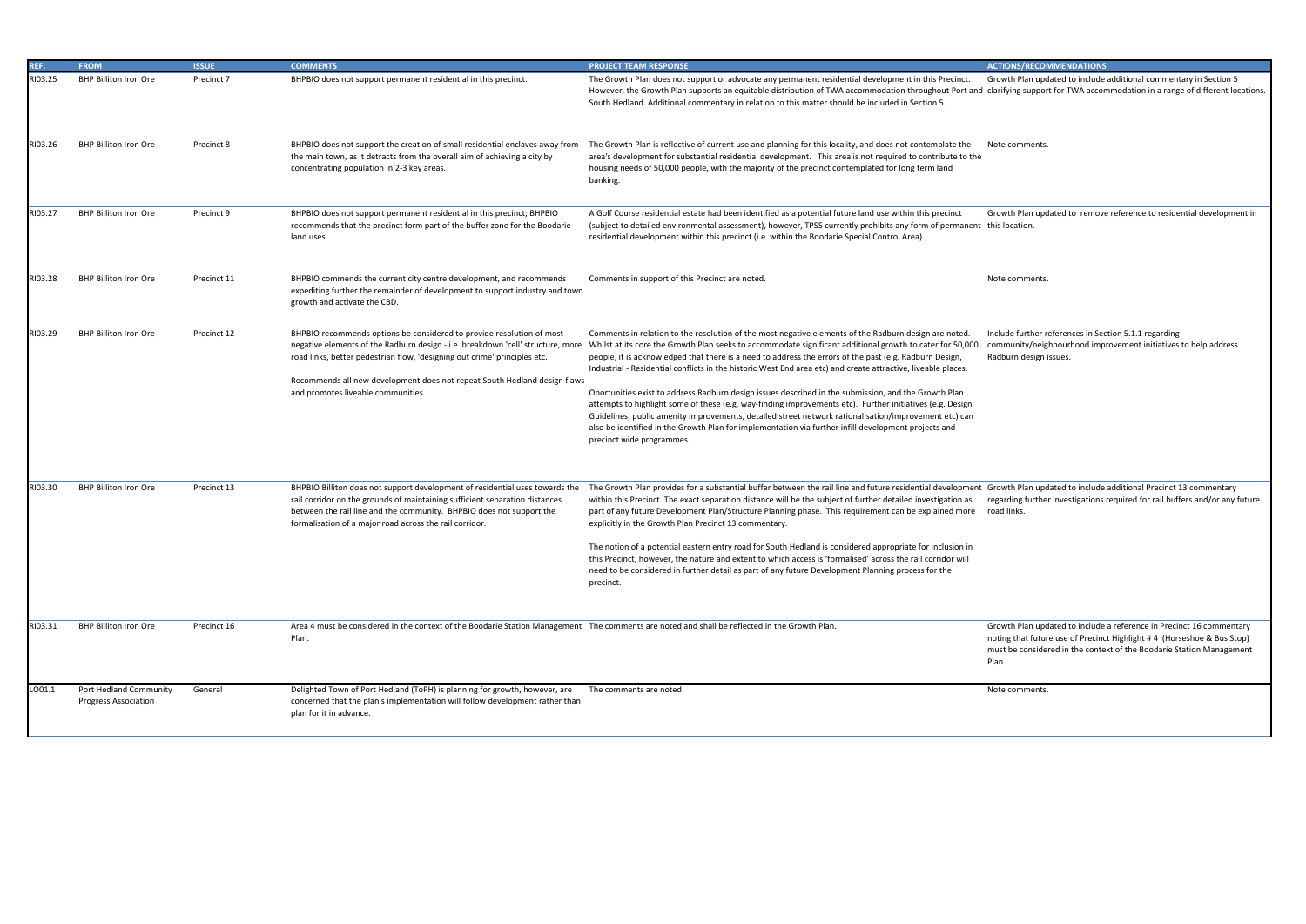Growth Plan updated to include additional commentary in Section 5 clarifying support for TWA accommodation in a range of different locations.

Note comments.

Growth Plan updated to remove reference to residential development in this location.

Note comments.

Growth Plan updated to include a reference in Precinct 16 commentary noting that future use of Precinct Highlight # 4 (Horseshoe & Bus Stop) must be considered in the context of the Boodarie Station Management Plan.

Note comments.

| REF.    | <b>FROM</b>                                           | <b>ISSUE</b> | <b>COMMENTS</b>                                                                                                                                                                                                                                                                                                                                          | <b>PROJECT TEAM RESPONSE</b>                                                                                                                                                                                                                                                                                                                                                                                                                                                                                                                                                                                                                                                                                                                                                                                                                                                                                      |
|---------|-------------------------------------------------------|--------------|----------------------------------------------------------------------------------------------------------------------------------------------------------------------------------------------------------------------------------------------------------------------------------------------------------------------------------------------------------|-------------------------------------------------------------------------------------------------------------------------------------------------------------------------------------------------------------------------------------------------------------------------------------------------------------------------------------------------------------------------------------------------------------------------------------------------------------------------------------------------------------------------------------------------------------------------------------------------------------------------------------------------------------------------------------------------------------------------------------------------------------------------------------------------------------------------------------------------------------------------------------------------------------------|
| RI03.25 | <b>BHP Billiton Iron Ore</b>                          | Precinct 7   | BHPBIO does not support permanent residential in this precinct.                                                                                                                                                                                                                                                                                          | The Growth Plan does not support or advocate any permanent residential development in this Precinct.<br>However, the Growth Plan supports an equitable distribution of TWA accommodation throughout Port and<br>South Hedland. Additional commentary in relation to this matter should be included in Section 5.                                                                                                                                                                                                                                                                                                                                                                                                                                                                                                                                                                                                  |
| RI03.26 | <b>BHP Billiton Iron Ore</b>                          | Precinct 8   | BHPBIO does not support the creation of small residential enclaves away from<br>the main town, as it detracts from the overall aim of achieving a city by<br>concentrating population in 2-3 key areas.                                                                                                                                                  | The Growth Plan is reflective of current use and planning for this locality, and does not contemplate the<br>area's development for substantial residential development. This area is not required to contribute to the<br>housing needs of 50,000 people, with the majority of the precinct contemplated for long term land<br>banking.                                                                                                                                                                                                                                                                                                                                                                                                                                                                                                                                                                          |
| RI03.27 | <b>BHP Billiton Iron Ore</b>                          | Precinct 9   | BHPBIO does not support permanent residential in this precinct; BHPBIO<br>recommends that the precinct form part of the buffer zone for the Boodarie<br>land uses.                                                                                                                                                                                       | A Golf Course residential estate had been identified as a potential future land use within this precinct<br>(subject to detailed environmental assessment), however, TPS5 currently prohibits any form of permanent<br>residential development within this precinct (i.e. within the Boodarie Special Control Area).                                                                                                                                                                                                                                                                                                                                                                                                                                                                                                                                                                                              |
| RI03.28 | <b>BHP Billiton Iron Ore</b>                          | Precinct 11  | BHPBIO commends the current city centre development, and recommends<br>expediting further the remainder of development to support industry and town<br>growth and activate the CBD.                                                                                                                                                                      | Comments in support of this Precinct are noted.                                                                                                                                                                                                                                                                                                                                                                                                                                                                                                                                                                                                                                                                                                                                                                                                                                                                   |
| RI03.29 | <b>BHP Billiton Iron Ore</b>                          | Precinct 12  | BHPBIO recommends options be considered to provide resolution of most<br>negative elements of the Radburn design - i.e. breakdown 'cell' structure, more<br>road links, better pedestrian flow, 'designing out crime' principles etc.<br>Recommends all new development does not repeat South Hedland design flaws<br>and promotes liveable communities. | Comments in relation to the resolution of the most negative elements of the Radburn design are noted.<br>Whilst at its core the Growth Plan seeks to accommodate significant additional growth to cater for 50,000<br>people, it is acknowledged that there is a need to address the errors of the past (e.g. Radburn Design,<br>Industrial - Residential conflicts in the historic West End area etc) and create attractive, liveable places.<br>Oportunities exist to address Radburn design issues described in the submission, and the Growth Plan<br>attempts to highlight some of these (e.g. way-finding improvements etc). Further initiatives (e.g. Design<br>Guidelines, public amenity improvements, detailed street network rationalisation/improvement etc) can<br>also be identified in the Growth Plan for implementation via further infill development projects and<br>precinct wide programmes. |
| RI03.30 | <b>BHP Billiton Iron Ore</b>                          | Precinct 13  | BHPBIO Billiton does not support development of residential uses towards the<br>rail corridor on the grounds of maintaining sufficient separation distances<br>between the rail line and the community. BHPBIO does not support the<br>formalisation of a major road across the rail corridor.                                                           | The Growth Plan provides for a substantial buffer between the rail line and future residential development<br>within this Precinct. The exact separation distance will be the subject of further detailed investigation as<br>part of any future Development Plan/Structure Planning phase. This requirement can be explained more<br>explicitly in the Growth Plan Precinct 13 commentary.<br>The notion of a potential eastern entry road for South Hedland is considered appropriate for inclusion in<br>this Precinct, however, the nature and extent to which access is 'formalised' across the rail corridor will<br>need to be considered in further detail as part of any future Development Planning process for the<br>precinct.                                                                                                                                                                        |
| RI03.31 | <b>BHP Billiton Iron Ore</b>                          | Precinct 16  | Area 4 must be considered in the context of the Boodarie Station Management The comments are noted and shall be reflected in the Growth Plan.<br>Plan.                                                                                                                                                                                                   |                                                                                                                                                                                                                                                                                                                                                                                                                                                                                                                                                                                                                                                                                                                                                                                                                                                                                                                   |
| LO01.1  | Port Hedland Community<br><b>Progress Association</b> | General      | Delighted Town of Port Hedland (ToPH) is planning for growth, however, are<br>concerned that the plan's implementation will follow development rather than<br>plan for it in advance.                                                                                                                                                                    | The comments are noted.                                                                                                                                                                                                                                                                                                                                                                                                                                                                                                                                                                                                                                                                                                                                                                                                                                                                                           |

Include further references in Section 5.1.1 regarding community/neighbourhood improvement initiatives to help address Radburn design issues.

Growth Plan updated to include additional Precinct 13 commentary regarding further investigations required for rail buffers and/or any future road links.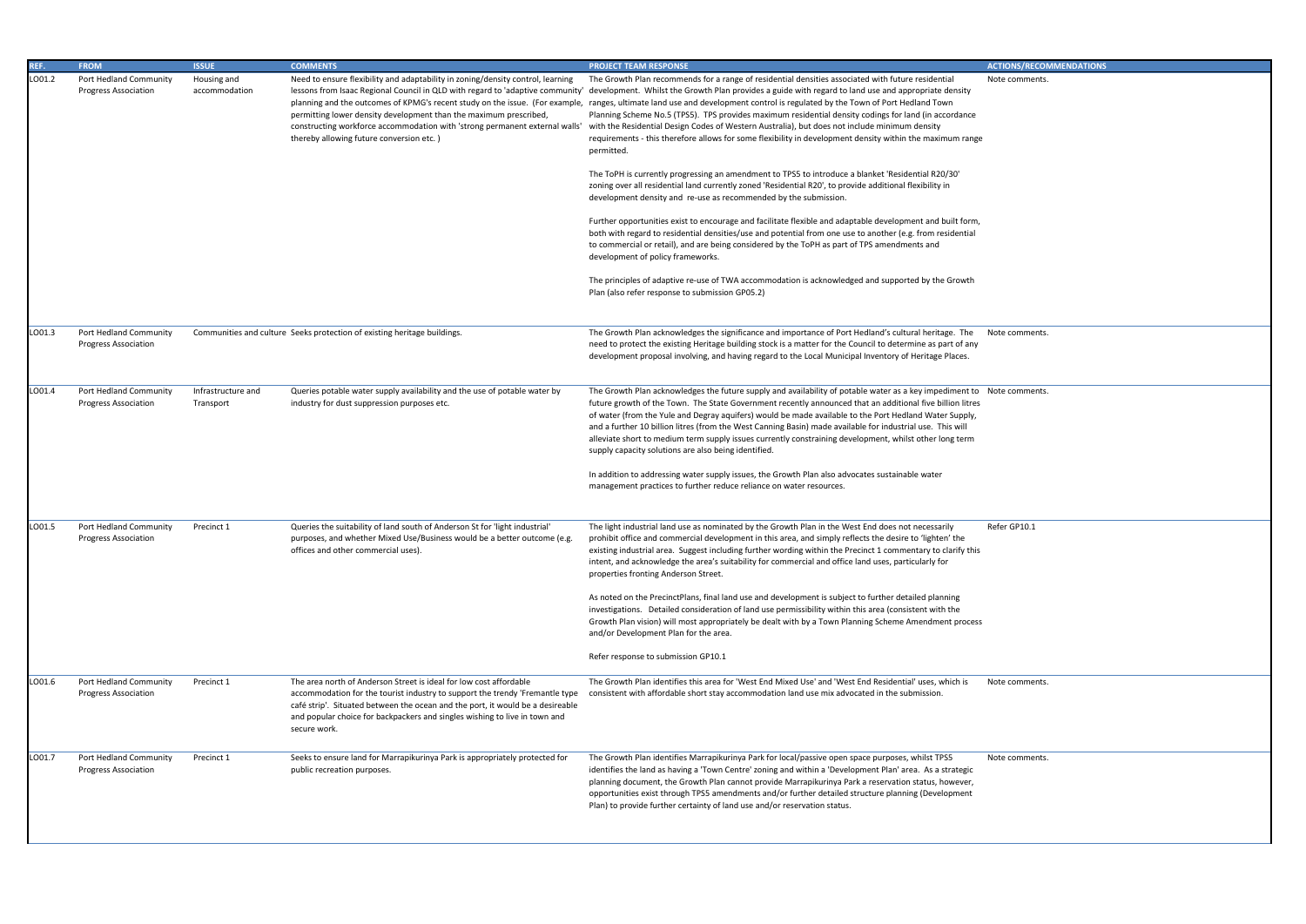Note comments.

Note comments.

| REF.   | <b>FROM</b>                                           | <b>ISSUE</b>                    | <b>COMMENTS</b>                                                                                                                                                                                                                                                                                                                    | <b>PROJECT TEAM RESPONSE</b>                                                                                                                                                                                                                                                                                                                                                                                                                                                                                                                                                                                                                                                                                                                                                                                   |
|--------|-------------------------------------------------------|---------------------------------|------------------------------------------------------------------------------------------------------------------------------------------------------------------------------------------------------------------------------------------------------------------------------------------------------------------------------------|----------------------------------------------------------------------------------------------------------------------------------------------------------------------------------------------------------------------------------------------------------------------------------------------------------------------------------------------------------------------------------------------------------------------------------------------------------------------------------------------------------------------------------------------------------------------------------------------------------------------------------------------------------------------------------------------------------------------------------------------------------------------------------------------------------------|
| LO01.2 | Port Hedland Community<br><b>Progress Association</b> | Housing and<br>accommodation    | Need to ensure flexibility and adaptability in zoning/density control, learning<br>permitting lower density development than the maximum prescribed,<br>constructing workforce accommodation with 'strong permanent external walls'<br>thereby allowing future conversion etc.)                                                    | The Growth Plan recommends for a range of residential densities associated with future residential<br>lessons from Isaac Regional Council in QLD with regard to 'adaptive community' development. Whilst the Growth Plan provides a guide with regard to land use and appropriate density<br>planning and the outcomes of KPMG's recent study on the issue. (For example, ranges, ultimate land use and development control is regulated by the Town of Port Hedland Town<br>Planning Scheme No.5 (TPS5). TPS provides maximum residential density codings for land (in accordance<br>with the Residential Design Codes of Western Australia), but does not include minimum density<br>requirements - this therefore allows for some flexibility in development density within the maximum range<br>permitted. |
|        |                                                       |                                 |                                                                                                                                                                                                                                                                                                                                    | The ToPH is currently progressing an amendment to TPS5 to introduce a blanket 'Residential R20/30'<br>zoning over all residential land currently zoned 'Residential R20', to provide additional flexibility in<br>development density and re-use as recommended by the submission.                                                                                                                                                                                                                                                                                                                                                                                                                                                                                                                             |
|        |                                                       |                                 |                                                                                                                                                                                                                                                                                                                                    | Further opportunities exist to encourage and facilitate flexible and adaptable development and built form,<br>both with regard to residential densities/use and potential from one use to another (e.g. from residential<br>to commercial or retail), and are being considered by the ToPH as part of TPS amendments and<br>development of policy frameworks.                                                                                                                                                                                                                                                                                                                                                                                                                                                  |
|        |                                                       |                                 |                                                                                                                                                                                                                                                                                                                                    | The principles of adaptive re-use of TWA accommodation is acknowledged and supported by the Growth<br>Plan (also refer response to submission GP05.2)                                                                                                                                                                                                                                                                                                                                                                                                                                                                                                                                                                                                                                                          |
| LO01.3 | Port Hedland Community<br><b>Progress Association</b> |                                 | Communities and culture Seeks protection of existing heritage buildings.                                                                                                                                                                                                                                                           | The Growth Plan acknowledges the significance and importance of Port Hedland's cultural heritage. The<br>need to protect the existing Heritage building stock is a matter for the Council to determine as part of any<br>development proposal involving, and having regard to the Local Municipal Inventory of Heritage Places.                                                                                                                                                                                                                                                                                                                                                                                                                                                                                |
| LO01.4 | Port Hedland Community<br><b>Progress Association</b> | Infrastructure and<br>Transport | Queries potable water supply availability and the use of potable water by<br>industry for dust suppression purposes etc.                                                                                                                                                                                                           | The Growth Plan acknowledges the future supply and availability of potable water as a key impediment to<br>future growth of the Town. The State Government recently announced that an additional five billion litres<br>of water (from the Yule and Degray aquifers) would be made available to the Port Hedland Water Supply,<br>and a further 10 billion litres (from the West Canning Basin) made available for industrial use. This will<br>alleviate short to medium term supply issues currently constraining development, whilst other long term<br>supply capacity solutions are also being identified.                                                                                                                                                                                                |
|        |                                                       |                                 |                                                                                                                                                                                                                                                                                                                                    | In addition to addressing water supply issues, the Growth Plan also advocates sustainable water<br>management practices to further reduce reliance on water resources.                                                                                                                                                                                                                                                                                                                                                                                                                                                                                                                                                                                                                                         |
| LO01.5 | Port Hedland Community<br><b>Progress Association</b> | Precinct 1                      | Queries the suitability of land south of Anderson St for 'light industrial'<br>purposes, and whether Mixed Use/Business would be a better outcome (e.g.<br>offices and other commercial uses).                                                                                                                                     | The light industrial land use as nominated by the Growth Plan in the West End does not necessarily<br>prohibit office and commercial development in this area, and simply reflects the desire to 'lighten' the<br>existing industrial area. Suggest including further wording within the Precinct 1 commentary to clarify this<br>intent, and acknowledge the area's suitability for commercial and office land uses, particularly for<br>properties fronting Anderson Street.                                                                                                                                                                                                                                                                                                                                 |
|        |                                                       |                                 |                                                                                                                                                                                                                                                                                                                                    | As noted on the PrecinctPlans, final land use and development is subject to further detailed planning<br>investigations. Detailed consideration of land use permissibility within this area (consistent with the<br>Growth Plan vision) will most appropriately be dealt with by a Town Planning Scheme Amendment process<br>and/or Development Plan for the area.                                                                                                                                                                                                                                                                                                                                                                                                                                             |
|        |                                                       |                                 |                                                                                                                                                                                                                                                                                                                                    | Refer response to submission GP10.1                                                                                                                                                                                                                                                                                                                                                                                                                                                                                                                                                                                                                                                                                                                                                                            |
| LO01.6 | Port Hedland Community<br><b>Progress Association</b> | Precinct 1                      | The area north of Anderson Street is ideal for low cost affordable<br>accommodation for the tourist industry to support the trendy 'Fremantle type<br>café strip'. Situated between the ocean and the port, it would be a desireable<br>and popular choice for backpackers and singles wishing to live in town and<br>secure work. | The Growth Plan identifies this area for 'West End Mixed Use' and 'West End Residential' uses, which is<br>consistent with affordable short stay accommodation land use mix advocated in the submission.                                                                                                                                                                                                                                                                                                                                                                                                                                                                                                                                                                                                       |
| LO01.7 | Port Hedland Community<br><b>Progress Association</b> | Precinct 1                      | Seeks to ensure land for Marrapikurinya Park is appropriately protected for<br>public recreation purposes.                                                                                                                                                                                                                         | The Growth Plan identifies Marrapikurinya Park for local/passive open space purposes, whilst TPS5<br>identifies the land as having a 'Town Centre' zoning and within a 'Development Plan' area. As a strategic<br>planning document, the Growth Plan cannot provide Marrapikurinya Park a reservation status, however,<br>opportunities exist through TPS5 amendments and/or further detailed structure planning (Development<br>Plan) to provide further certainty of land use and/or reservation status.                                                                                                                                                                                                                                                                                                     |

Note comments.

Refer GP10.1

Note comments.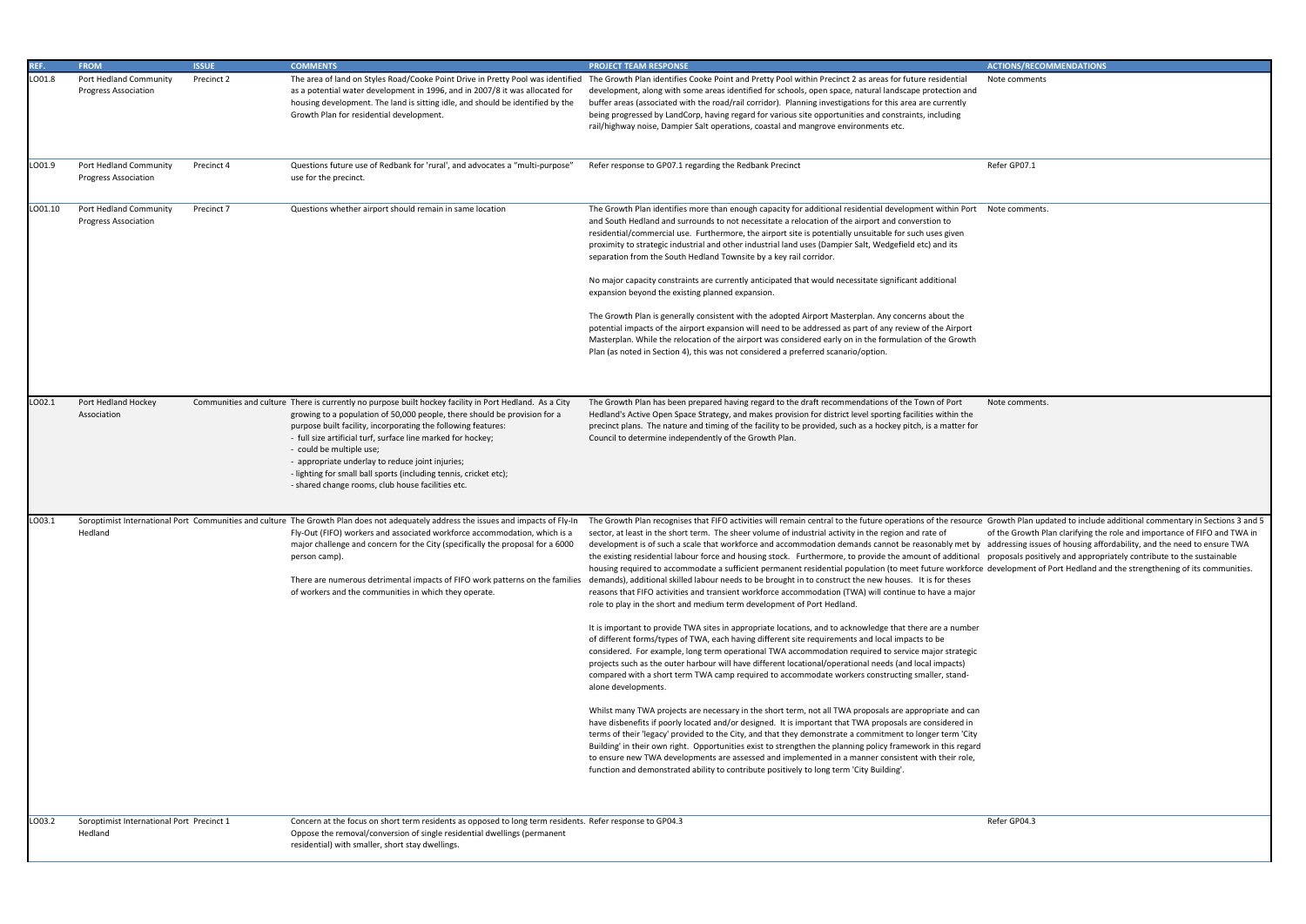Note comments

Refer GP07.1

Note comments.

| REF.    | <b>FROM</b>                                           | <b>ISSUE</b> | <b>COMMENTS</b>                                                                                                                                                                                                                                                                                                                                                                                                                                                                                                                | <b>PROJECT TEAM RESPONSE</b>                                                                                                                                                                                                                                                                                                                                                                                                                                                                                                                                                                                                                                                                                                                                                                                                                                                                                                                                                                                                                                                                                                                                                                                                                                                                                                                                                                                                                                                                                                                                                                                                                                                                                                                                                                                                                                                                                                                                                                                                                                               |
|---------|-------------------------------------------------------|--------------|--------------------------------------------------------------------------------------------------------------------------------------------------------------------------------------------------------------------------------------------------------------------------------------------------------------------------------------------------------------------------------------------------------------------------------------------------------------------------------------------------------------------------------|----------------------------------------------------------------------------------------------------------------------------------------------------------------------------------------------------------------------------------------------------------------------------------------------------------------------------------------------------------------------------------------------------------------------------------------------------------------------------------------------------------------------------------------------------------------------------------------------------------------------------------------------------------------------------------------------------------------------------------------------------------------------------------------------------------------------------------------------------------------------------------------------------------------------------------------------------------------------------------------------------------------------------------------------------------------------------------------------------------------------------------------------------------------------------------------------------------------------------------------------------------------------------------------------------------------------------------------------------------------------------------------------------------------------------------------------------------------------------------------------------------------------------------------------------------------------------------------------------------------------------------------------------------------------------------------------------------------------------------------------------------------------------------------------------------------------------------------------------------------------------------------------------------------------------------------------------------------------------------------------------------------------------------------------------------------------------|
| LO01.8  | Port Hedland Community<br><b>Progress Association</b> | Precinct 2   | The area of land on Styles Road/Cooke Point Drive in Pretty Pool was identified<br>as a potential water development in 1996, and in 2007/8 it was allocated for<br>housing development. The land is sitting idle, and should be identified by the<br>Growth Plan for residential development.                                                                                                                                                                                                                                  | The Growth Plan identifies Cooke Point and Pretty Pool within Precinct 2 as areas for future residential<br>development, along with some areas identified for schools, open space, natural landscape protection and<br>buffer areas (associated with the road/rail corridor). Planning investigations for this area are currently<br>being progressed by LandCorp, having regard for various site opportunities and constraints, including<br>rail/highway noise, Dampier Salt operations, coastal and mangrove environments etc.                                                                                                                                                                                                                                                                                                                                                                                                                                                                                                                                                                                                                                                                                                                                                                                                                                                                                                                                                                                                                                                                                                                                                                                                                                                                                                                                                                                                                                                                                                                                          |
| LO01.9  | Port Hedland Community<br><b>Progress Association</b> | Precinct 4   | Questions future use of Redbank for 'rural', and advocates a "multi-purpose"<br>use for the precinct.                                                                                                                                                                                                                                                                                                                                                                                                                          | Refer response to GP07.1 regarding the Redbank Precinct                                                                                                                                                                                                                                                                                                                                                                                                                                                                                                                                                                                                                                                                                                                                                                                                                                                                                                                                                                                                                                                                                                                                                                                                                                                                                                                                                                                                                                                                                                                                                                                                                                                                                                                                                                                                                                                                                                                                                                                                                    |
| LO01.10 | Port Hedland Community<br><b>Progress Association</b> | Precinct 7   | Questions whether airport should remain in same location                                                                                                                                                                                                                                                                                                                                                                                                                                                                       | The Growth Plan identifies more than enough capacity for additional residential development within Port<br>and South Hedland and surrounds to not necessitate a relocation of the airport and converstion to<br>residential/commercial use. Furthermore, the airport site is potentially unsuitable for such uses given<br>proximity to strategic industrial and other industrial land uses (Dampier Salt, Wedgefield etc) and its<br>separation from the South Hedland Townsite by a key rail corridor.                                                                                                                                                                                                                                                                                                                                                                                                                                                                                                                                                                                                                                                                                                                                                                                                                                                                                                                                                                                                                                                                                                                                                                                                                                                                                                                                                                                                                                                                                                                                                                   |
|         |                                                       |              |                                                                                                                                                                                                                                                                                                                                                                                                                                                                                                                                | No major capacity constraints are currently anticipated that would necessitate significant additional<br>expansion beyond the existing planned expansion.                                                                                                                                                                                                                                                                                                                                                                                                                                                                                                                                                                                                                                                                                                                                                                                                                                                                                                                                                                                                                                                                                                                                                                                                                                                                                                                                                                                                                                                                                                                                                                                                                                                                                                                                                                                                                                                                                                                  |
|         |                                                       |              |                                                                                                                                                                                                                                                                                                                                                                                                                                                                                                                                | The Growth Plan is generally consistent with the adopted Airport Masterplan. Any concerns about the<br>potential impacts of the airport expansion will need to be addressed as part of any review of the Airport<br>Masterplan. While the relocation of the airport was considered early on in the formulation of the Growth<br>Plan (as noted in Section 4), this was not considered a preferred scanario/option.                                                                                                                                                                                                                                                                                                                                                                                                                                                                                                                                                                                                                                                                                                                                                                                                                                                                                                                                                                                                                                                                                                                                                                                                                                                                                                                                                                                                                                                                                                                                                                                                                                                         |
| .002.1  | Port Hedland Hockey<br>Association                    |              | Communities and culture There is currently no purpose built hockey facility in Port Hedland. As a City<br>growing to a population of 50,000 people, there should be provision for a<br>purpose built facility, incorporating the following features:<br>- full size artificial turf, surface line marked for hockey;<br>- could be multiple use;<br>- appropriate underlay to reduce joint injuries;<br>- lighting for small ball sports (including tennis, cricket etc);<br>- shared change rooms, club house facilities etc. | The Growth Plan has been prepared having regard to the draft recommendations of the Town of Port<br>Hedland's Active Open Space Strategy, and makes provision for district level sporting facilities within the<br>precinct plans. The nature and timing of the facility to be provided, such as a hockey pitch, is a matter for<br>Council to determine independently of the Growth Plan.                                                                                                                                                                                                                                                                                                                                                                                                                                                                                                                                                                                                                                                                                                                                                                                                                                                                                                                                                                                                                                                                                                                                                                                                                                                                                                                                                                                                                                                                                                                                                                                                                                                                                 |
| LO03.1  | Hedland                                               |              | Soroptimist International Port Communities and culture The Growth Plan does not adequately address the issues and impacts of Fly-In<br>Fly-Out (FIFO) workers and associated workforce accommodation, which is a<br>major challenge and concern for the City (specifically the proposal for a 6000<br>person camp).<br>There are numerous detrimental impacts of FIFO work patterns on the families<br>of workers and the communities in which they operate.                                                                   | The Growth Plan recognises that FIFO activities will remain central to the future operations of the resource<br>sector, at least in the short term. The sheer volume of industrial activity in the region and rate of<br>development is of such a scale that workforce and accommodation demands cannot be reasonably met by<br>the existing residential labour force and housing stock. Furthermore, to provide the amount of additional<br>housing required to accommodate a sufficient permanent residential population (to meet future workforce<br>demands), additional skilled labour needs to be brought in to construct the new houses. It is for theses<br>reasons that FIFO activities and transient workforce accommodation (TWA) will continue to have a major<br>role to play in the short and medium term development of Port Hedland.<br>It is important to provide TWA sites in appropriate locations, and to acknowledge that there are a number<br>of different forms/types of TWA, each having different site requirements and local impacts to be<br>considered. For example, long term operational TWA accommodation required to service major strategic<br>projects such as the outer harbour will have different locational/operational needs (and local impacts)<br>compared with a short term TWA camp required to accommodate workers constructing smaller, stand-<br>alone developments.<br>Whilst many TWA projects are necessary in the short term, not all TWA proposals are appropriate and can<br>have disbenefits if poorly located and/or designed. It is important that TWA proposals are considered in<br>terms of their 'legacy' provided to the City, and that they demonstrate a commitment to longer term 'City<br>Building' in their own right. Opportunities exist to strengthen the planning policy framework in this regard<br>to ensure new TWA developments are assessed and implemented in a manner consistent with their role,<br>function and demonstrated ability to contribute positively to long term 'City Building'. |
| LO03.2  | Soroptimist International Port Precinct 1<br>Hedland  |              | Concern at the focus on short term residents as opposed to long term residents. Refer response to GP04.3<br>Oppose the removal/conversion of single residential dwellings (permanent<br>residential) with smaller, short stay dwellings.                                                                                                                                                                                                                                                                                       |                                                                                                                                                                                                                                                                                                                                                                                                                                                                                                                                                                                                                                                                                                                                                                                                                                                                                                                                                                                                                                                                                                                                                                                                                                                                                                                                                                                                                                                                                                                                                                                                                                                                                                                                                                                                                                                                                                                                                                                                                                                                            |

Note comments.

Growth Plan updated to include additional commentary in Sections 3 and 5 of the Growth Plan clarifying the role and importance of FIFO and TWA in addressing issues of housing affordability, and the need to ensure TWA proposals positively and appropriately contribute to the sustainable development of Port Hedland and the strengthening of its communities.

Refer GP04.3